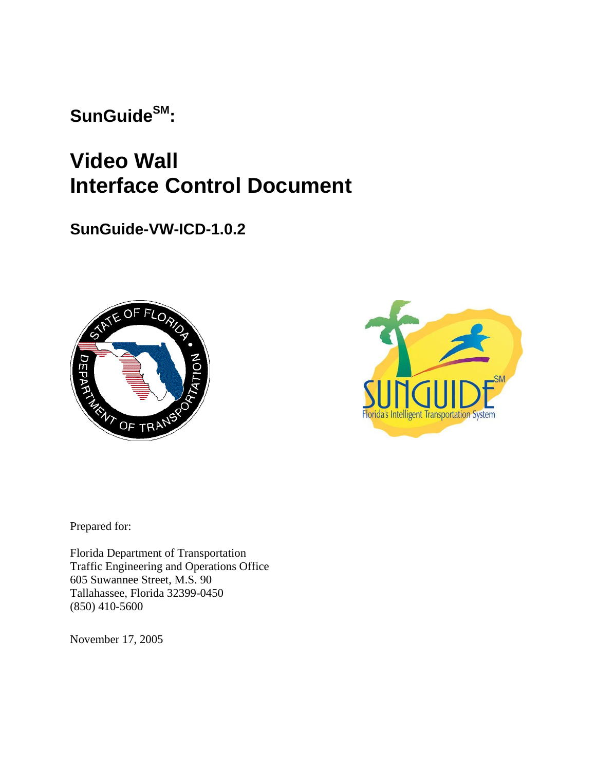SunGuide<sup>SM</sup>:

**Video Wall Interface Control Document** 

**SunGuide-VW-ICD-1.0.2**





Prepared for:

Florida Department of Transportation Traffic Engineering and Operations Office 605 Suwannee Street, M.S. 90 Tallahassee, Florida 32399-0450 (850) 410-5600

November 17, 2005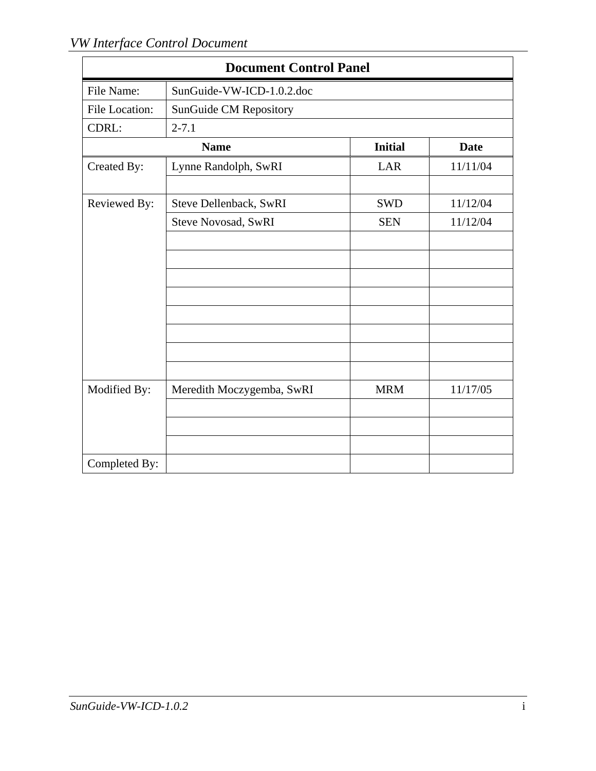| <b>Document Control Panel</b> |                            |                |             |  |  |  |  |  |  |  |
|-------------------------------|----------------------------|----------------|-------------|--|--|--|--|--|--|--|
| File Name:                    | SunGuide-VW-ICD-1.0.2.doc  |                |             |  |  |  |  |  |  |  |
| File Location:                | SunGuide CM Repository     |                |             |  |  |  |  |  |  |  |
| CDRL:                         | $2 - 7.1$                  |                |             |  |  |  |  |  |  |  |
|                               | <b>Name</b>                | <b>Initial</b> | <b>Date</b> |  |  |  |  |  |  |  |
| Created By:                   | Lynne Randolph, SwRI       | LAR            | 11/11/04    |  |  |  |  |  |  |  |
|                               |                            |                |             |  |  |  |  |  |  |  |
| Reviewed By:                  | Steve Dellenback, SwRI     | <b>SWD</b>     | 11/12/04    |  |  |  |  |  |  |  |
|                               | <b>Steve Novosad, SwRI</b> | <b>SEN</b>     | 11/12/04    |  |  |  |  |  |  |  |
|                               |                            |                |             |  |  |  |  |  |  |  |
|                               |                            |                |             |  |  |  |  |  |  |  |
|                               |                            |                |             |  |  |  |  |  |  |  |
|                               |                            |                |             |  |  |  |  |  |  |  |
|                               |                            |                |             |  |  |  |  |  |  |  |
|                               |                            |                |             |  |  |  |  |  |  |  |
|                               |                            |                |             |  |  |  |  |  |  |  |
|                               |                            |                |             |  |  |  |  |  |  |  |
| Modified By:                  | Meredith Moczygemba, SwRI  | <b>MRM</b>     | 11/17/05    |  |  |  |  |  |  |  |
|                               |                            |                |             |  |  |  |  |  |  |  |
|                               |                            |                |             |  |  |  |  |  |  |  |
|                               |                            |                |             |  |  |  |  |  |  |  |
| Completed By:                 |                            |                |             |  |  |  |  |  |  |  |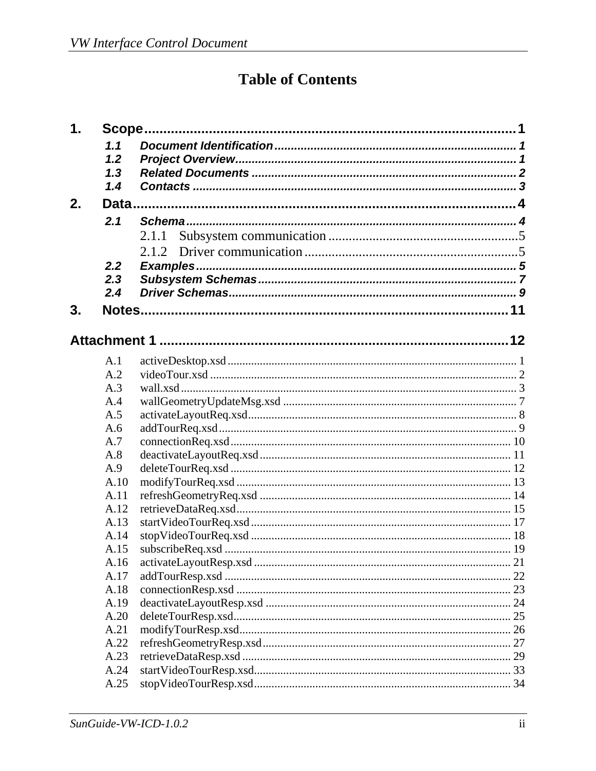# **Table of Contents**

| 1. | Scope. |          |  |
|----|--------|----------|--|
|    | 1.1    |          |  |
|    | 1.2    |          |  |
|    | 1.3    |          |  |
|    | 1.4    |          |  |
| 2. |        |          |  |
|    | 2.1    |          |  |
|    |        | 2.1.1    |  |
|    |        |          |  |
|    |        | 2.1.2    |  |
|    | 2.2    | Examples |  |
|    | 2.3    |          |  |
|    | 2.4    |          |  |
| 3. |        |          |  |
|    |        |          |  |
|    |        |          |  |
|    | A.1    |          |  |
|    | A.2    |          |  |
|    | A.3    |          |  |
|    | A.4    |          |  |
|    | A.5    |          |  |
|    | A.6    |          |  |
|    | A.7    |          |  |
|    | A.8    |          |  |
|    | A.9    |          |  |
|    | A.10   |          |  |
|    | A.11   |          |  |
|    | A.12   |          |  |
|    | A.13   |          |  |
|    | A.14   |          |  |
|    | A.15   |          |  |
|    | A.16   |          |  |
|    | A.17   |          |  |
|    | A.18   |          |  |
|    | A.19   |          |  |
|    | A.20   |          |  |
|    | A.21   |          |  |
|    | A.22   |          |  |
|    | A.23   |          |  |
|    | A.24   |          |  |
|    | A.25   |          |  |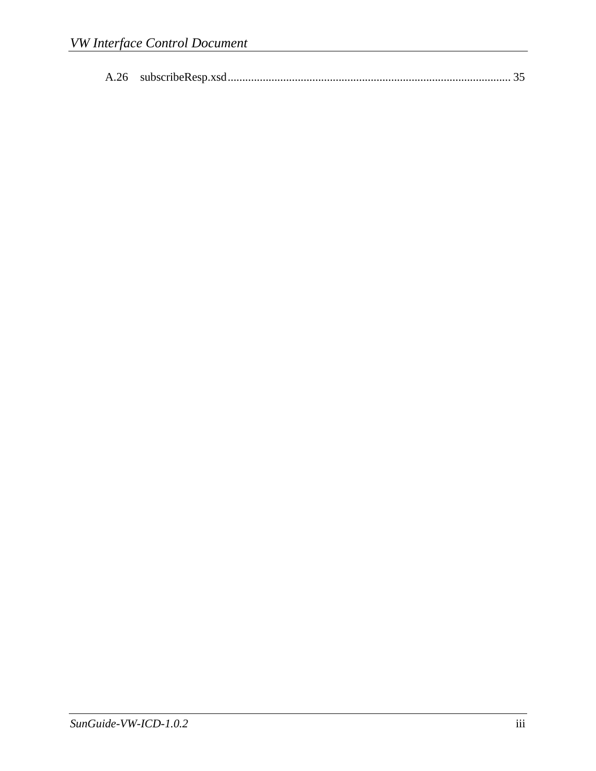|--|--|--|--|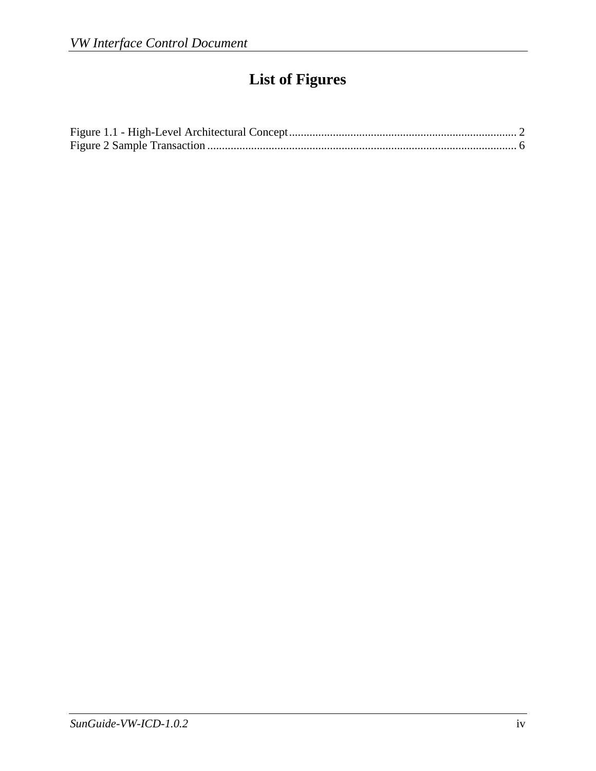# **List of Figures**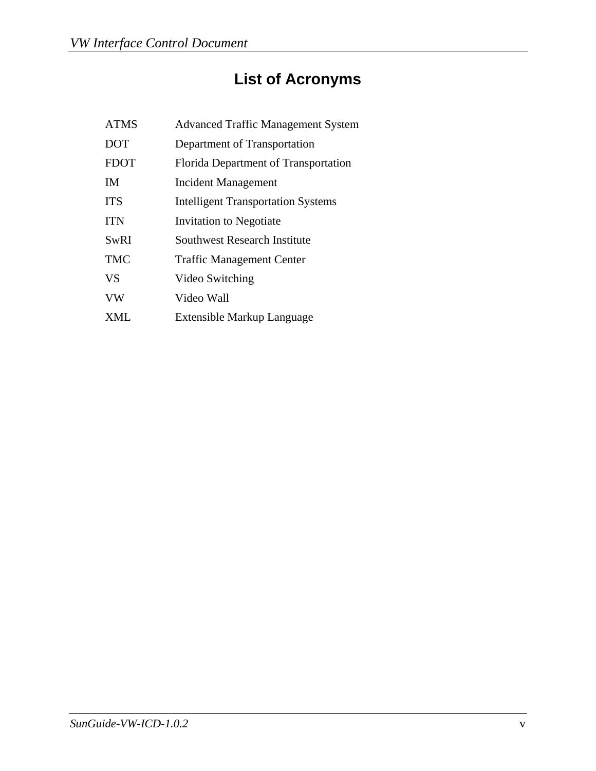# **List of Acronyms**

| <b>ATMS</b> | <b>Advanced Traffic Management System</b> |
|-------------|-------------------------------------------|
| <b>DOT</b>  | Department of Transportation              |
| <b>FDOT</b> | Florida Department of Transportation      |
| <b>IM</b>   | Incident Management                       |
| <b>ITS</b>  | <b>Intelligent Transportation Systems</b> |
| <b>ITN</b>  | Invitation to Negotiate                   |
| <b>SwRI</b> | <b>Southwest Research Institute</b>       |
| <b>TMC</b>  | <b>Traffic Management Center</b>          |
| <b>VS</b>   | Video Switching                           |
| <b>VW</b>   | Video Wall                                |
| XML         | Extensible Markup Language                |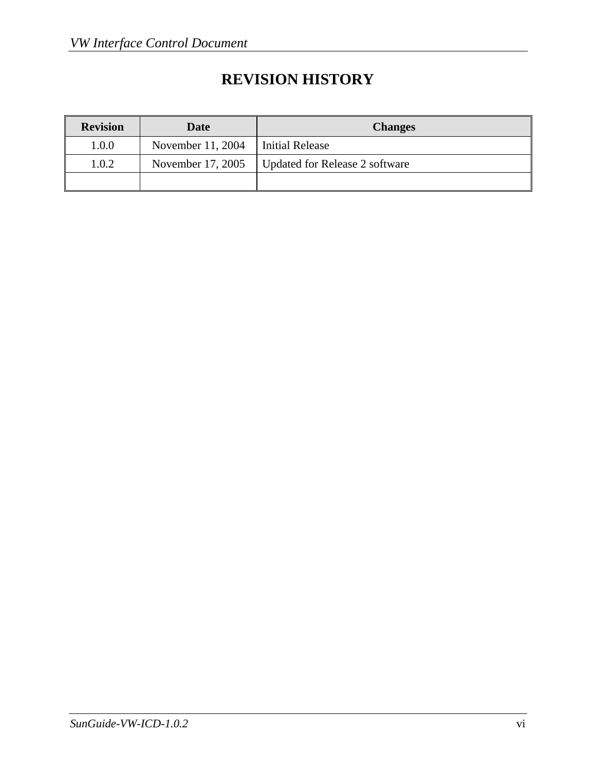# **REVISION HISTORY**

| <b>Revision</b> | Date              | <b>Changes</b>                 |
|-----------------|-------------------|--------------------------------|
| 1.0.0           | November 11, 2004 | <b>Initial Release</b>         |
| 1.0.2           | November 17, 2005 | Updated for Release 2 software |
|                 |                   |                                |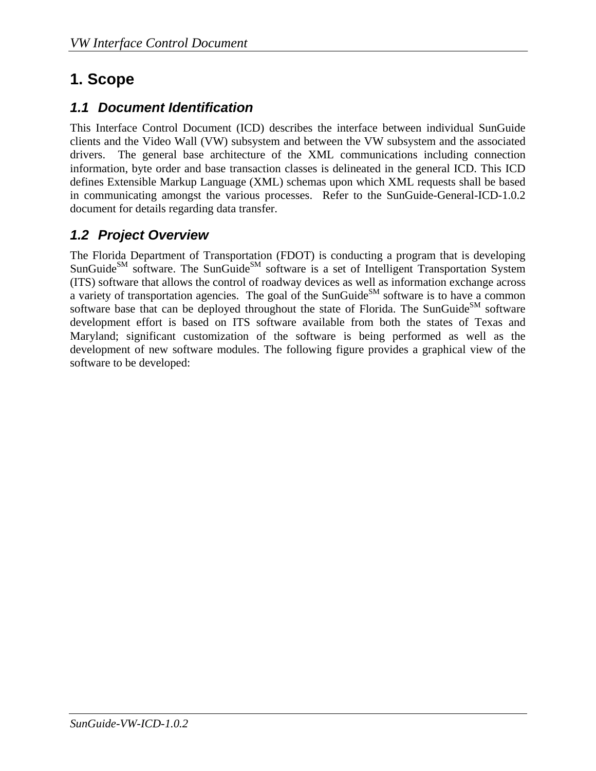# <span id="page-7-1"></span><span id="page-7-0"></span>**1. Scope**

### <span id="page-7-2"></span>*1.1 Document Identification*

This Interface Control Document (ICD) describes the interface between individual SunGuide clients and the Video Wall (VW) subsystem and between the VW subsystem and the associated drivers. The general base architecture of the XML communications including connection information, byte order and base transaction classes is delineated in the general ICD. This ICD defines Extensible Markup Language (XML) schemas upon which XML requests shall be based in communicating amongst the various processes. Refer to the SunGuide-General-ICD-1.0.2 document for details regarding data transfer.

## <span id="page-7-3"></span>*1.2 Project Overview*

The Florida Department of Transportation (FDOT) is conducting a program that is developing  $S$ unGuide<sup>SM</sup> software. The SunGuide<sup>SM</sup> software is a set of Intelligent Transportation System (ITS) software that allows the control of roadway devices as well as information exchange across a variety of transportation agencies. The goal of the SunGuide<sup>SM</sup> software is to have a common software base that can be deployed throughout the state of Florida. The SunGuide<sup>SM</sup> software development effort is based on ITS software available from both the states of Texas and Maryland; significant customization of the software is being performed as well as the development of new software modules. The following figure provides a graphical view of the software to be developed: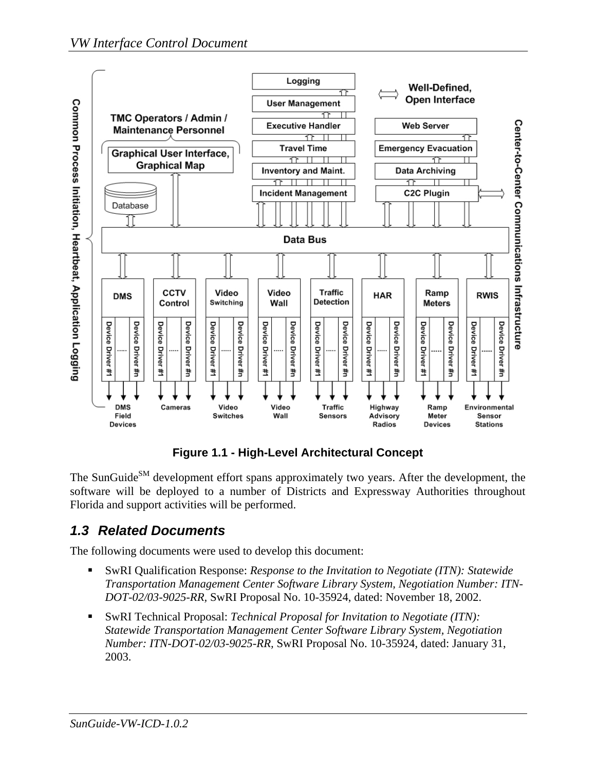<span id="page-8-0"></span>

**Figure 1.1 - High-Level Architectural Concept** 

<span id="page-8-2"></span>The SunGuide<sup>SM</sup> development effort spans approximately two years. After the development, the software will be deployed to a number of Districts and Expressway Authorities throughout Florida and support activities will be performed.

## <span id="page-8-1"></span>*1.3 Related Documents*

The following documents were used to develop this document:

- SwRI Qualification Response: *Response to the Invitation to Negotiate (ITN): Statewide Transportation Management Center Software Library System, Negotiation Number: ITN-DOT-02/03-9025-RR,* SwRI Proposal No. 10-35924, dated: November 18, 2002.
- SwRI Technical Proposal: *Technical Proposal for Invitation to Negotiate (ITN): Statewide Transportation Management Center Software Library System, Negotiation Number: ITN-DOT-02/03-9025-RR,* SwRI Proposal No. 10-35924, dated: January 31, 2003.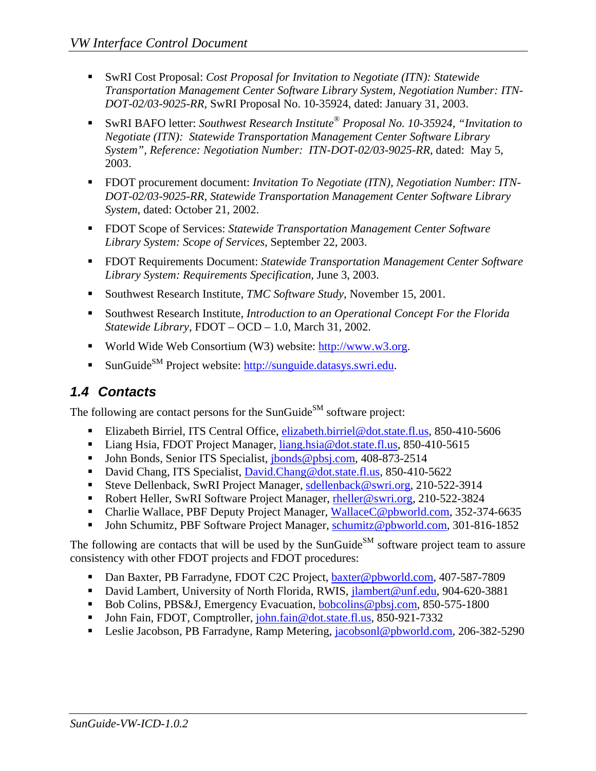- <span id="page-9-0"></span> SwRI Cost Proposal: *Cost Proposal for Invitation to Negotiate (ITN): Statewide Transportation Management Center Software Library System, Negotiation Number: ITN-DOT-02/03-9025-RR,* SwRI Proposal No. 10-35924, dated: January 31, 2003.
- SwRI BAFO letter: *Southwest Research Institute® Proposal No. 10-35924, "Invitation to Negotiate (ITN): Statewide Transportation Management Center Software Library System", Reference: Negotiation Number: ITN-DOT-02/03-9025-RR*, dated: May 5, 2003.
- FDOT procurement document: *Invitation To Negotiate (ITN), Negotiation Number: ITN DOT-02/03-9025-RR, Statewide Transportation Management Center Software Library System*, dated: October 21, 2002.
- FDOT Scope of Services: *Statewide Transportation Management Center Software Library System: Scope of Services,* September 22, 2003.
- FDOT Requirements Document: *Statewide Transportation Management Center Software Library System: Requirements Specification,* June 3, 2003.
- Southwest Research Institute, *TMC Software Study*, November 15, 2001.
- Southwest Research Institute, *Introduction to an Operational Concept For the Florida Statewide Library*, FDOT – OCD – 1.0, March 31, 2002.
- World Wide Web Consortium (W3) website: [http://www.w3.org.](http://www.w3.org/)
- SunGuide<sup>SM</sup> Project website: [http://sunguide.datasys.swri.edu.](http://sunguide.datasys.swri.edu/)

## <span id="page-9-1"></span>*1.4 Contacts*

The following are contact persons for the SunGuide<sup>SM</sup> software project:

- Elizabeth Birriel, ITS Central Office, [elizabeth.birriel@dot.state.fl.us,](mailto:elizabeth.birriel@dot.state.fl.us) 850-410-5606
- [Liang Hsia,](mailto:liang.hsia@dot.state.fl.us) FDOT Project Manager, [liang.hsia@dot.state.fl.us,](mailto:liang.hsia@dot.state.fl.us) 850-410-5615
- [John Bonds](mailto:jbonds@pbsj.com), Senior ITS Specialist, *jbonds@pbsj.com*, 408-873-2514
- [David Chang,](mailto:David.Chang@dot.state.fl.us) ITS Specialist, [David.Chang@dot.state.fl.us](mailto:David.Chang@dot.state.fl.us), 850-410-5622
- [Steve Dellenback](mailto:sdellenback@swri.org?subject=\), SwRI Project Manager, [sdellenback@swri.org,](mailto:sdellenback@swri.org) 210-522-3914
- [Robert Heller,](mailto:rheller@swri.org) SwRI Software Project Manager, [rheller@swri.org](mailto:rheller@swri.org), 210-522-3824
- [Charlie Wallace,](mailto:WallaceC@pbworld.com) PBF Deputy Project Manager, [WallaceC@pbworld.com,](mailto:WallaceC@pbworld.com) 352-374-6635
- [John Schumitz](mailto:schumitz@pbworld.com), PBF Software Project Manager, [schumitz@pbworld.com](mailto:schumitz@pbworld.com), 301-816-1852

The following are contacts that will be used by the SunGuide<sup>SM</sup> software project team to assure consistency with other FDOT projects and FDOT procedures:

- Dan Baxter, PB Farradyne, FDOT C2C Project, [baxter@pbworld.com](mailto:baxter@pbworld.com), 407-587-7809
- David Lambert, University of North Florida, RWIS, [jlambert@unf.edu,](mailto:jlambert@unf.edu) 904-620-3881
- Bob Colins, PBS&J, Emergency Evacuation, **bobcolins@pbsj.com**, 850-575-1800
- John Fain, FDOT, Comptroller, [john.fain@dot.state.fl.us](mailto:john.fain@dot.state.fl.us), 850-921-7332
- Leslie Jacobson, PB Farradyne, Ramp Metering, [jacobsonl@pbworld.com,](mailto:jacobsonl@pbworld.com) 206-382-5290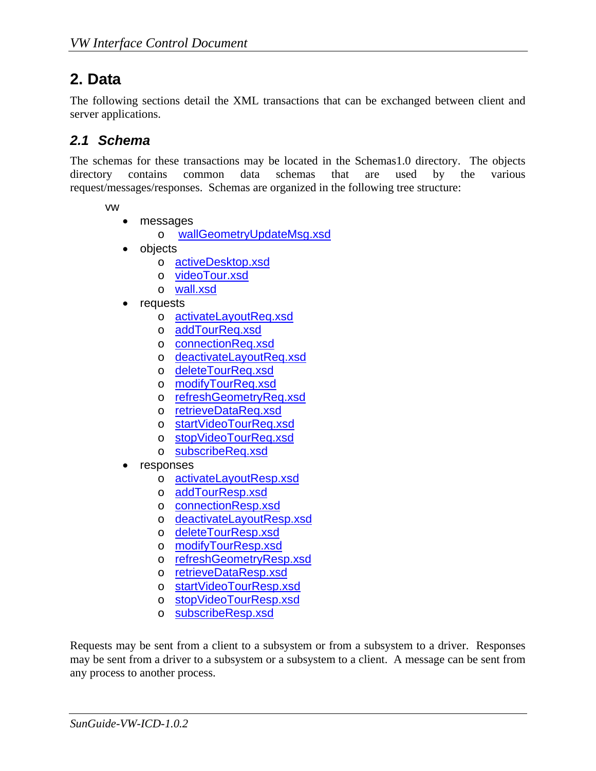# <span id="page-10-1"></span><span id="page-10-0"></span>**2. Data**

The following sections detail the XML transactions that can be exchanged between client and server applications.

### <span id="page-10-2"></span>*2.1 Schema*

The schemas for these transactions may be located in the Schemas1.0 directory. The objects directory contains common data schemas that are used by the various request/messages/responses. Schemas are organized in the following tree structure:

vw

- messages
	- o [wallGeometryUpdateMsg.xsd](#page-25-0)
- objects
	- o [activeDesktop.xsd](#page-19-0)
	- o [videoTour.xsd](#page-20-0)
	- o [wall.xsd](#page-21-0)
- **requests** 
	- o [activateLayoutReq.xsd](#page-26-0)
	- o [addTourReq.xsd](#page-27-0)
	- o [connectionReq.xsd](#page-28-0)
	- o [deactivateLayoutReq.xsd](#page-29-0)
	- o [deleteTourReq.xsd](#page-30-0)
	- o [modifyTourReq.xsd](#page-31-0)
	- o [refreshGeometryReq.xsd](#page-32-0)
	- o [retrieveDataReq.xsd](#page-33-0)
	- o [startVideoTourReq.xsd](#page-33-0)
	- o [stopVideoTourReq.xsd](#page-35-0)
	- o [subscribeReq.xsd](#page-37-0)
- responses
	- o [activateLayoutResp.xsd](#page-39-0)
	- o [addTourResp.xsd](#page-40-0)
	- o [connectionResp.xsd](#page-41-0)
	- o [deactivateLayoutResp.xsd](#page-42-0)
	- o [deleteTourResp.xsd](#page-43-0)
	- o [modifyTourResp.xsd](#page-44-0)
	- o [refreshGeometryResp.xsd](#page-45-0)
	- o [retrieveDataResp.xsd](#page-47-0)
	- o [startVideoTourResp.xsd](#page-51-0)
	- o [stopVideoTourResp.xsd](#page-52-0)
	- o [subscribeResp.xsd](#page-53-0)

Requests may be sent from a client to a subsystem or from a subsystem to a driver. Responses may be sent from a driver to a subsystem or a subsystem to a client. A message can be sent from any process to another process.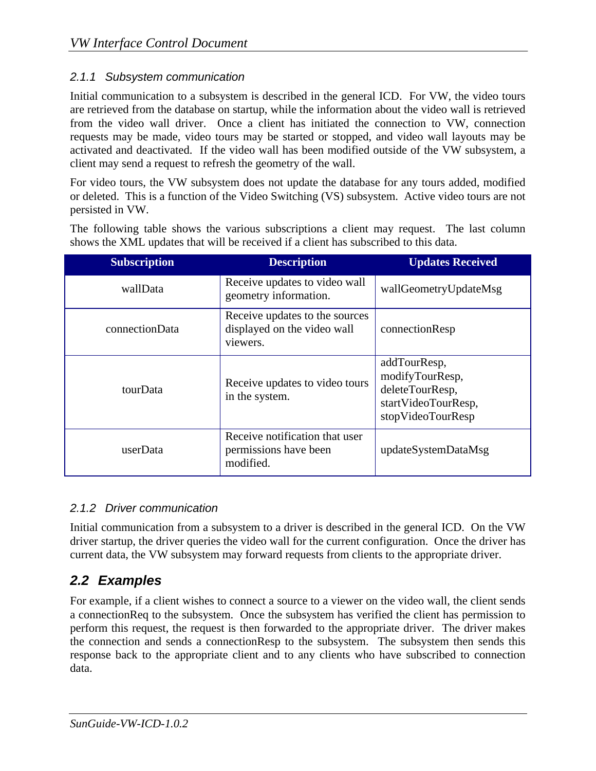#### <span id="page-11-1"></span><span id="page-11-0"></span>*2.1.1 Subsystem communication*

Initial communication to a subsystem is described in the general ICD. For VW, the video tours are retrieved from the database on startup, while the information about the video wall is retrieved from the video wall driver. Once a client has initiated the connection to VW, connection requests may be made, video tours may be started or stopped, and video wall layouts may be activated and deactivated. If the video wall has been modified outside of the VW subsystem, a client may send a request to refresh the geometry of the wall.

For video tours, the VW subsystem does not update the database for any tours added, modified or deleted. This is a function of the Video Switching (VS) subsystem. Active video tours are not persisted in VW.

The following table shows the various subscriptions a client may request. The last column shows the XML updates that will be received if a client has subscribed to this data.

| <b>Subscription</b> | <b>Description</b>                                                        | <b>Updates Received</b>                                                                        |
|---------------------|---------------------------------------------------------------------------|------------------------------------------------------------------------------------------------|
| wallData            | Receive updates to video wall<br>geometry information.                    | wallGeometryUpdateMsg                                                                          |
| connectionData      | Receive updates to the sources<br>displayed on the video wall<br>viewers. | connectionResp                                                                                 |
| tourData            | Receive updates to video tours<br>in the system.                          | addTourResp,<br>modifyTourResp,<br>deleteTourResp,<br>startVideoTourResp,<br>stopVideoTourResp |
| userData            | Receive notification that user<br>permissions have been<br>modified.      | updateSystemDataMsg                                                                            |

#### <span id="page-11-2"></span>*2.1.2 Driver communication*

Initial communication from a subsystem to a driver is described in the general ICD. On the VW driver startup, the driver queries the video wall for the current configuration. Once the driver has current data, the VW subsystem may forward requests from clients to the appropriate driver.

## <span id="page-11-3"></span>*2.2 Examples*

For example, if a client wishes to connect a source to a viewer on the video wall, the client sends a connectionReq to the subsystem. Once the subsystem has verified the client has permission to perform this request, the request is then forwarded to the appropriate driver. The driver makes the connection and sends a connectionResp to the subsystem. The subsystem then sends this response back to the appropriate client and to any clients who have subscribed to connection data.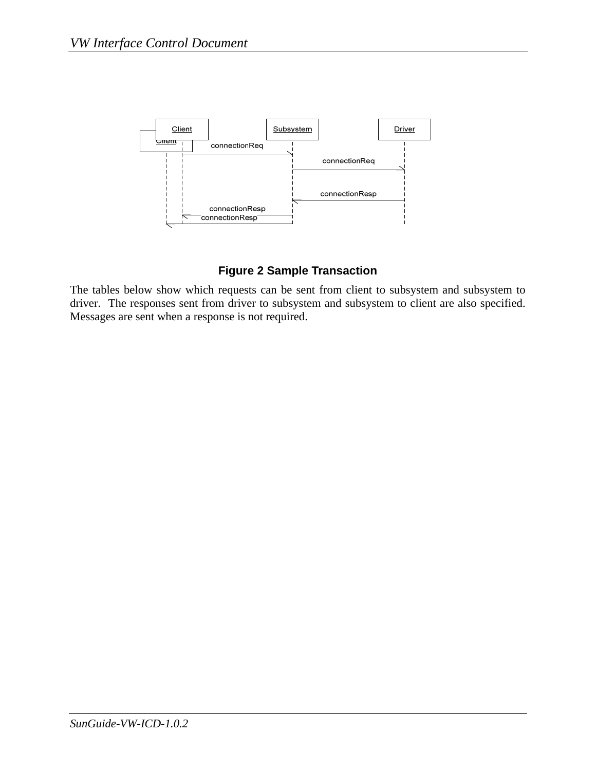<span id="page-12-0"></span>

#### **Figure 2 Sample Transaction**

<span id="page-12-1"></span>The tables below show which requests can be sent from client to subsystem and subsystem to driver. The responses sent from driver to subsystem and subsystem to client are also specified. Messages are sent when a response is not required.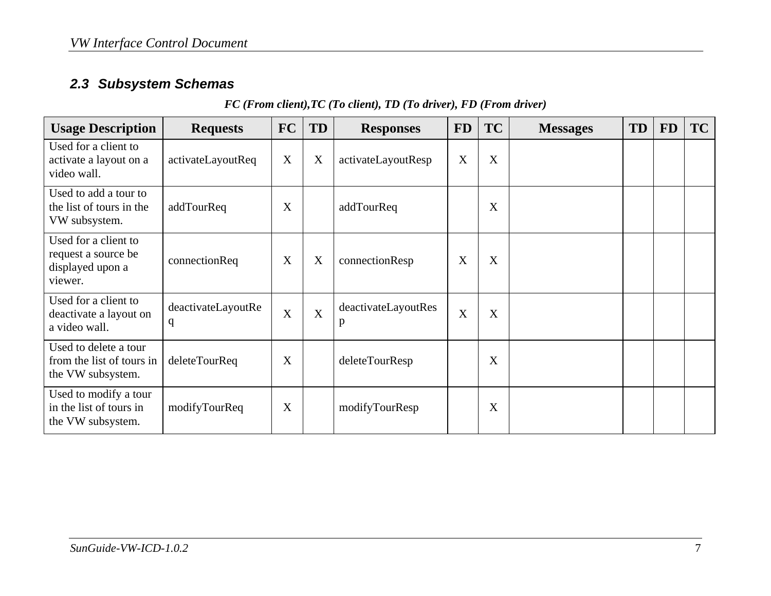## *2.3 Subsystem Schemas*

#### *FC (From client),TC (To client), TD (To driver), FD (From driver)*

<span id="page-13-1"></span><span id="page-13-0"></span>

| <b>Usage Description</b>                                                   | <b>Requests</b>         | <b>FC</b> | TD             | <b>Responses</b>         | <b>FD</b> | <b>TC</b> | <b>Messages</b> | <b>TD</b> | <b>FD</b> | <b>TC</b> |
|----------------------------------------------------------------------------|-------------------------|-----------|----------------|--------------------------|-----------|-----------|-----------------|-----------|-----------|-----------|
| Used for a client to<br>activate a layout on a<br>video wall.              | activateLayoutReq       | X         | X              | activateLayoutResp       | X         | X         |                 |           |           |           |
| Used to add a tour to<br>the list of tours in the<br>VW subsystem.         | addTourReq              | X         |                | addTourReq               |           | X         |                 |           |           |           |
| Used for a client to<br>request a source be<br>displayed upon a<br>viewer. | connectionReq           | X         | X              | connectionResp           | X         | X         |                 |           |           |           |
| Used for a client to<br>deactivate a layout on<br>a video wall.            | deactivateLayoutRe<br>q | X         | $\overline{X}$ | deactivateLayoutRes<br>p | X         | X         |                 |           |           |           |
| Used to delete a tour<br>from the list of tours in<br>the VW subsystem.    | deleteTourReq           | X         |                | deleteTourResp           |           | X         |                 |           |           |           |
| Used to modify a tour<br>in the list of tours in<br>the VW subsystem.      | modifyTourReq           | X         |                | modifyTourResp           |           | X         |                 |           |           |           |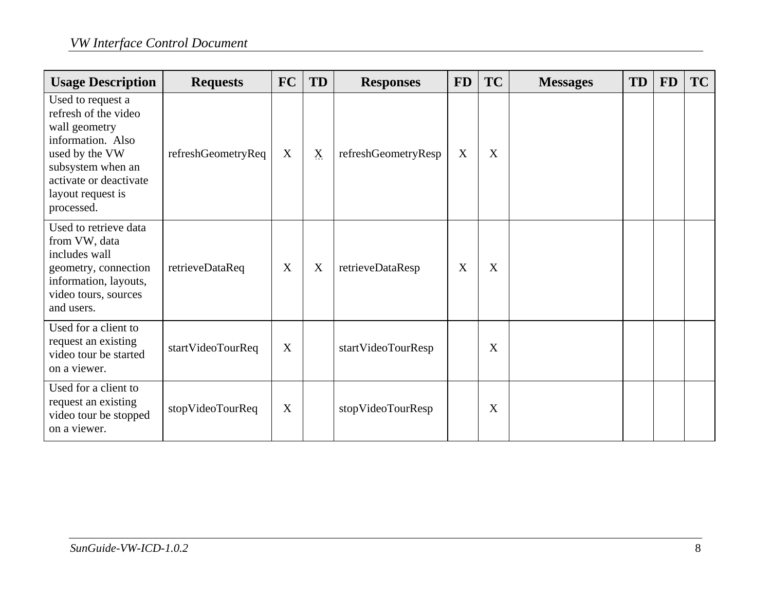| <b>Usage Description</b>                                                                                                                                                            | <b>Requests</b>    | <b>FC</b> | TD          | <b>Responses</b>    | <b>FD</b> | <b>TC</b> | <b>Messages</b> | <b>TD</b> | <b>FD</b> | <b>TC</b> |
|-------------------------------------------------------------------------------------------------------------------------------------------------------------------------------------|--------------------|-----------|-------------|---------------------|-----------|-----------|-----------------|-----------|-----------|-----------|
| Used to request a<br>refresh of the video<br>wall geometry<br>information. Also<br>used by the VW<br>subsystem when an<br>activate or deactivate<br>layout request is<br>processed. | refreshGeometryReq | X         | $\mathbf X$ | refreshGeometryResp | X         | X         |                 |           |           |           |
| Used to retrieve data<br>from VW, data<br>includes wall<br>geometry, connection<br>information, layouts,<br>video tours, sources<br>and users.                                      | retrieveDataReq    | X         | X           | retrieveDataResp    | X         | X         |                 |           |           |           |
| Used for a client to<br>request an existing<br>video tour be started<br>on a viewer.                                                                                                | startVideoTourReq  | X         |             | startVideoTourResp  |           | X         |                 |           |           |           |
| Used for a client to<br>request an existing<br>video tour be stopped<br>on a viewer.                                                                                                | stopVideoTourReq   | X         |             | stopVideoTourResp   |           | X         |                 |           |           |           |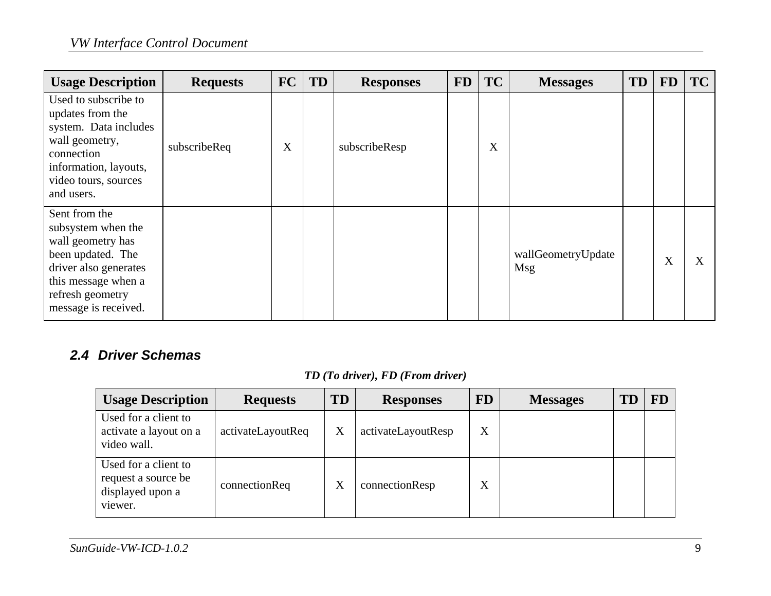| <b>Usage Description</b>                                                                                                                                                  | <b>Requests</b> | <b>FC</b> | TD | <b>Responses</b> | <b>FD</b> | <b>TC</b> | <b>Messages</b>                  | <b>TD</b> | <b>FD</b> | TC |
|---------------------------------------------------------------------------------------------------------------------------------------------------------------------------|-----------------|-----------|----|------------------|-----------|-----------|----------------------------------|-----------|-----------|----|
| Used to subscribe to<br>updates from the<br>system. Data includes<br>wall geometry,<br>connection<br>information, layouts,<br>video tours, sources<br>and users.          | subscribeReq    | X         |    | subscribeResp    |           | X         |                                  |           |           |    |
| Sent from the<br>subsystem when the<br>wall geometry has<br>been updated. The<br>driver also generates<br>this message when a<br>refresh geometry<br>message is received. |                 |           |    |                  |           |           | wallGeometryUpdate<br><b>Msg</b> |           | X         | X  |

### *2.4 Driver Schemas*

### <span id="page-15-1"></span>*TD (To driver), FD (From driver)*

<span id="page-15-0"></span>

| <b>Usage Description</b>                                                   | <b>Requests</b>   | TD | <b>Responses</b>   | <b>FD</b> | <b>Messages</b> | FD |
|----------------------------------------------------------------------------|-------------------|----|--------------------|-----------|-----------------|----|
| Used for a client to<br>activate a layout on a<br>video wall.              | activateLayoutReq | X  | activateLayoutResp | X         |                 |    |
| Used for a client to<br>request a source be<br>displayed upon a<br>viewer. | connectionReq     | X  | connectionResp     | X         |                 |    |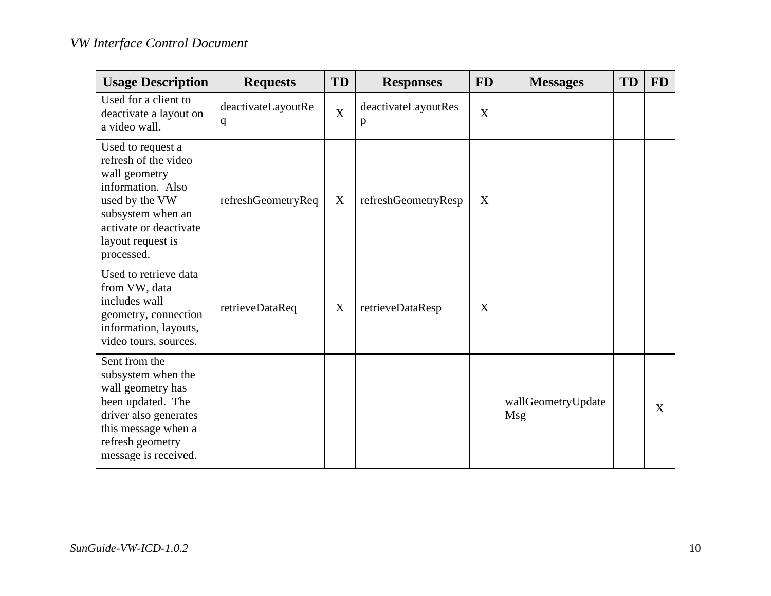| <b>Usage Description</b>                                                                                                                                                            | <b>Requests</b>         | <b>TD</b>   | <b>Responses</b>                    | <b>FD</b> | <b>Messages</b>           | TD | <b>FD</b> |
|-------------------------------------------------------------------------------------------------------------------------------------------------------------------------------------|-------------------------|-------------|-------------------------------------|-----------|---------------------------|----|-----------|
| Used for a client to<br>deactivate a layout on<br>a video wall.                                                                                                                     | deactivateLayoutRe<br>q | $\mathbf X$ | deactivateLayoutRes<br>$\mathbf{p}$ | X         |                           |    |           |
| Used to request a<br>refresh of the video<br>wall geometry<br>information. Also<br>used by the VW<br>subsystem when an<br>activate or deactivate<br>layout request is<br>processed. | refreshGeometryReq      | X           | refreshGeometryResp                 | X         |                           |    |           |
| Used to retrieve data<br>from VW, data<br>includes wall<br>geometry, connection<br>information, layouts,<br>video tours, sources.                                                   | retrieveDataReq         | X           | retrieveDataResp                    | X         |                           |    |           |
| Sent from the<br>subsystem when the<br>wall geometry has<br>been updated. The<br>driver also generates<br>this message when a<br>refresh geometry<br>message is received.           |                         |             |                                     |           | wallGeometryUpdate<br>Msg |    | X         |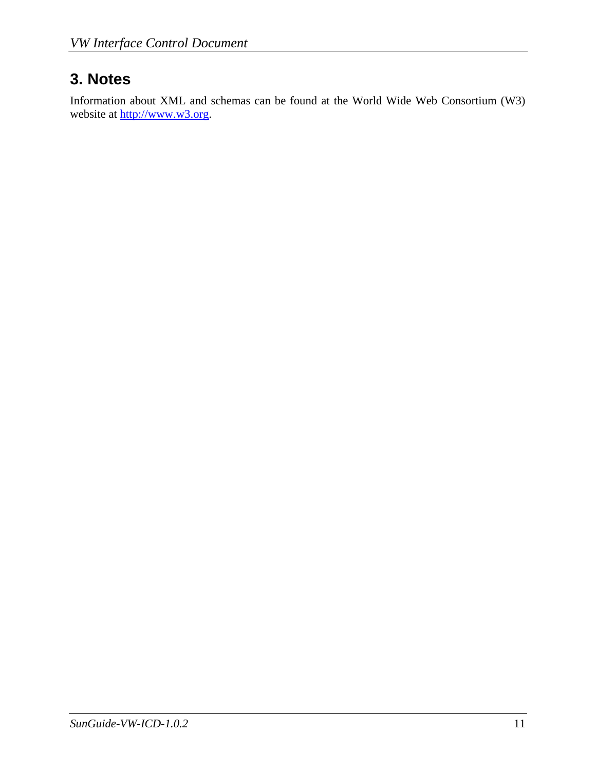# <span id="page-17-1"></span><span id="page-17-0"></span>**3. Notes**

Information about XML and schemas can be found at the World Wide Web Consortium (W3) website at [http://www.w3.org.](http://www.w3.org/)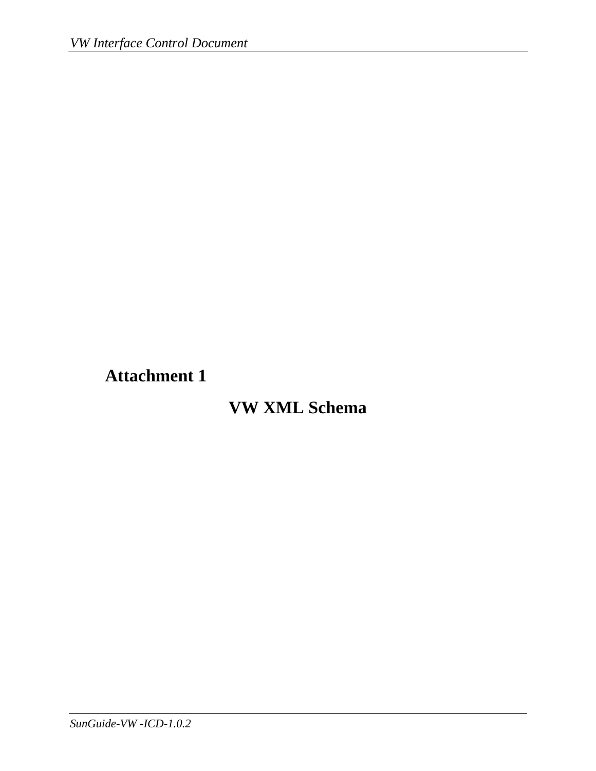<span id="page-18-1"></span><span id="page-18-0"></span>**Attachment 1** 

# **VW XML Schema**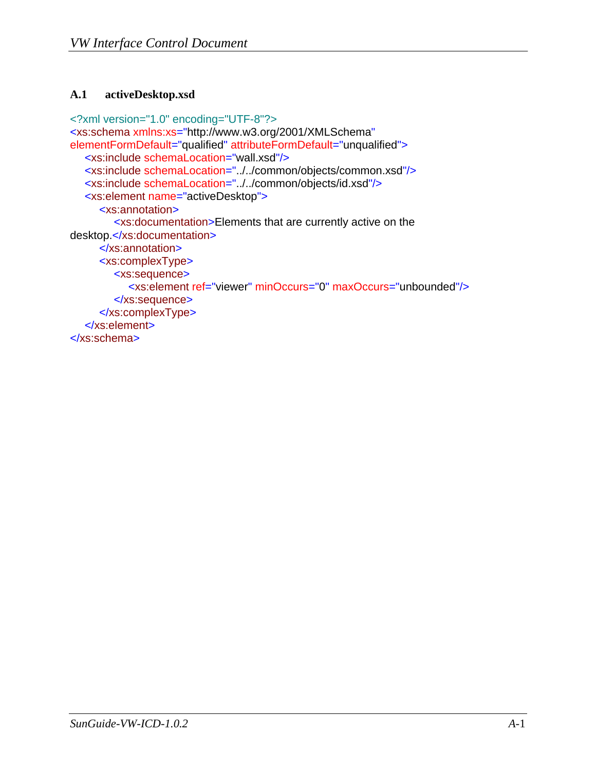#### <span id="page-19-1"></span><span id="page-19-0"></span>**A.1 activeDesktop.xsd**

```
<?xml version="1.0" encoding="UTF-8"?>
<xs:schema xmlns:xs="http://www.w3.org/2001/XMLSchema"
elementFormDefault="qualified" attributeFormDefault="unqualified">
  <xs:include schemaLocation="wall.xsd"/>
  <xs:include schemaLocation="../../common/objects/common.xsd"/>
  <xs:include schemaLocation="../../common/objects/id.xsd"/>
  <xs:element name="activeDesktop">
      <xs:annotation>
         <xs:documentation>Elements that are currently active on the 
desktop.</xs:documentation>
      </xs:annotation>
      <xs:complexType>
         <xs:sequence>
            <xs:element ref="viewer" minOccurs="0" maxOccurs="unbounded"/>
         </xs:sequence>
      </xs:complexType>
  </xs:element>
</xs:schema>
```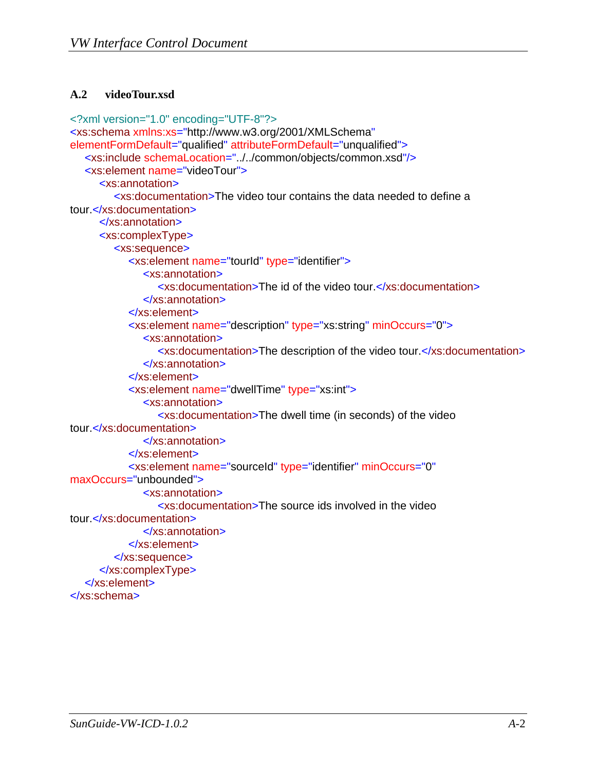#### <span id="page-20-1"></span><span id="page-20-0"></span>**A.2 videoTour.xsd**

```
<?xml version="1.0" encoding="UTF-8"?>
<xs:schema xmlns:xs="http://www.w3.org/2001/XMLSchema"
elementFormDefault="qualified" attributeFormDefault="unqualified">
  <xs:include schemaLocation="../../common/objects/common.xsd"/>
  <xs:element name="videoTour">
      <xs:annotation>
         <xs:documentation>The video tour contains the data needed to define a 
tour.</xs:documentation>
      </xs:annotation>
      <xs:complexType>
         <xs:sequence>
            <xs:element name="tourId" type="identifier">
               <xs:annotation>
                  <xs:documentation>The id of the video tour.</xs:documentation>
               </xs:annotation>
            </xs:element>
            <xs:element name="description" type="xs:string" minOccurs="0">
               <xs:annotation>
                  <xs:documentation>The description of the video tour.</xs:documentation>
               </xs:annotation>
            </xs:element>
            <xs:element name="dwellTime" type="xs:int">
               <xs:annotation>
                  <xs:documentation>The dwell time (in seconds) of the video 
tour.</xs:documentation>
               </xs:annotation>
            </xs:element>
            <xs:element name="sourceId" type="identifier" minOccurs="0"
maxOccurs="unbounded">
               <xs:annotation>
                  <xs:documentation>The source ids involved in the video 
tour.</xs:documentation>
               </xs:annotation>
            </xs:element>
         </xs:sequence>
      </xs:complexType>
  </xs:element>
</xs:schema>
```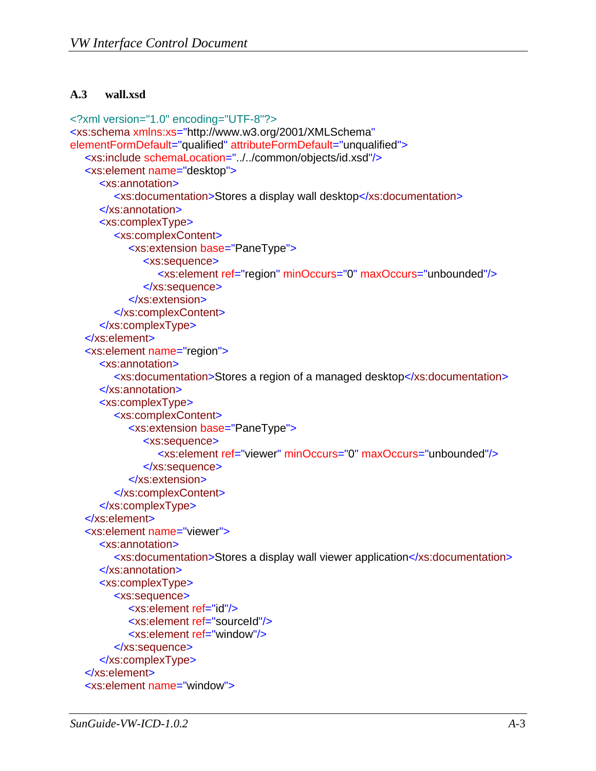#### <span id="page-21-1"></span><span id="page-21-0"></span>**A.3 wall.xsd**

```
<?xml version="1.0" encoding="UTF-8"?>
<xs:schema xmlns:xs="http://www.w3.org/2001/XMLSchema"
elementFormDefault="qualified" attributeFormDefault="unqualified">
  <xs:include schemaLocation="../../common/objects/id.xsd"/>
  <xs:element name="desktop">
      <xs:annotation>
         <xs:documentation>Stores a display wall desktop</xs:documentation>
      </xs:annotation>
      <xs:complexType>
         <xs:complexContent>
            <xs:extension base="PaneType">
               <xs:sequence>
                  <xs:element ref="region" minOccurs="0" maxOccurs="unbounded"/>
               </xs:sequence>
            </xs:extension>
         </xs:complexContent>
      </xs:complexType>
  </xs:element>
  <xs:element name="region">
      <xs:annotation>
         <xs:documentation>Stores a region of a managed desktop</xs:documentation>
      </xs:annotation>
      <xs:complexType>
         <xs:complexContent>
            <xs:extension base="PaneType">
               <xs:sequence>
                 <xs:element ref="viewer" minOccurs="0" maxOccurs="unbounded"/>
               </xs:sequence>
            </xs:extension>
         </xs:complexContent>
      </xs:complexType>
  </xs:element>
  <xs:element name="viewer">
      <xs:annotation>
         <xs:documentation>Stores a display wall viewer application</xs:documentation>
      </xs:annotation>
      <xs:complexType>
         <xs:sequence>
            <xs:element ref="id"/>
            <xs:element ref="sourceId"/>
            <xs:element ref="window"/>
         </xs:sequence>
      </xs:complexType>
  </xs:element>
  <xs:element name="window">
```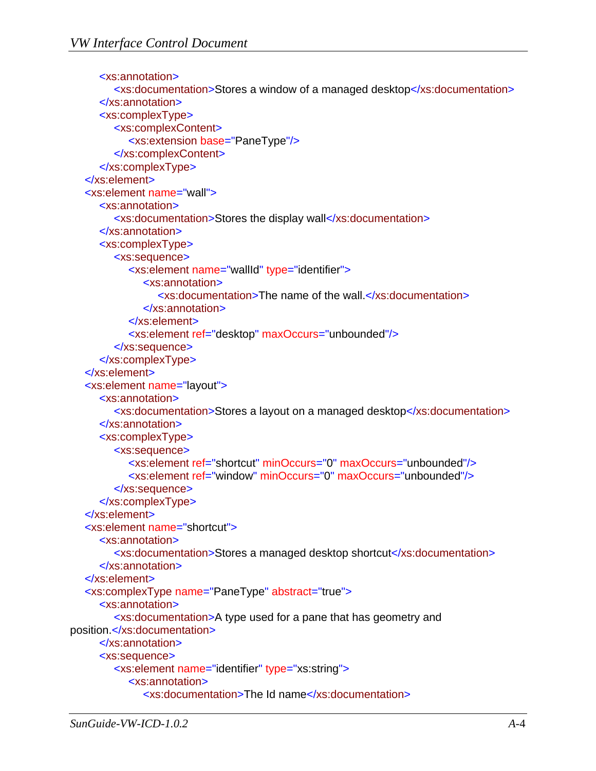```
 <xs:annotation>
         <xs:documentation>Stores a window of a managed desktop</xs:documentation>
      </xs:annotation>
      <xs:complexType>
         <xs:complexContent>
            <xs:extension base="PaneType"/>
         </xs:complexContent>
      </xs:complexType>
  </xs:element>
  <xs:element name="wall">
      <xs:annotation>
         <xs:documentation>Stores the display wall</xs:documentation>
      </xs:annotation>
      <xs:complexType>
         <xs:sequence>
            <xs:element name="wallId" type="identifier">
               <xs:annotation>
                  <xs:documentation>The name of the wall.</xs:documentation>
               </xs:annotation>
            </xs:element>
            <xs:element ref="desktop" maxOccurs="unbounded"/>
         </xs:sequence>
      </xs:complexType>
  </xs:element>
  <xs:element name="layout">
      <xs:annotation>
         <xs:documentation>Stores a layout on a managed desktop</xs:documentation>
      </xs:annotation>
      <xs:complexType>
         <xs:sequence>
            <xs:element ref="shortcut" minOccurs="0" maxOccurs="unbounded"/>
            <xs:element ref="window" minOccurs="0" maxOccurs="unbounded"/>
         </xs:sequence>
      </xs:complexType>
  </xs:element>
  <xs:element name="shortcut">
      <xs:annotation>
         <xs:documentation>Stores a managed desktop shortcut</xs:documentation>
      </xs:annotation>
  </xs:element>
  <xs:complexType name="PaneType" abstract="true">
      <xs:annotation>
         <xs:documentation>A type used for a pane that has geometry and 
position.</xs:documentation>
      </xs:annotation>
      <xs:sequence>
         <xs:element name="identifier" type="xs:string">
            <xs:annotation>
               <xs:documentation>The Id name</xs:documentation>
```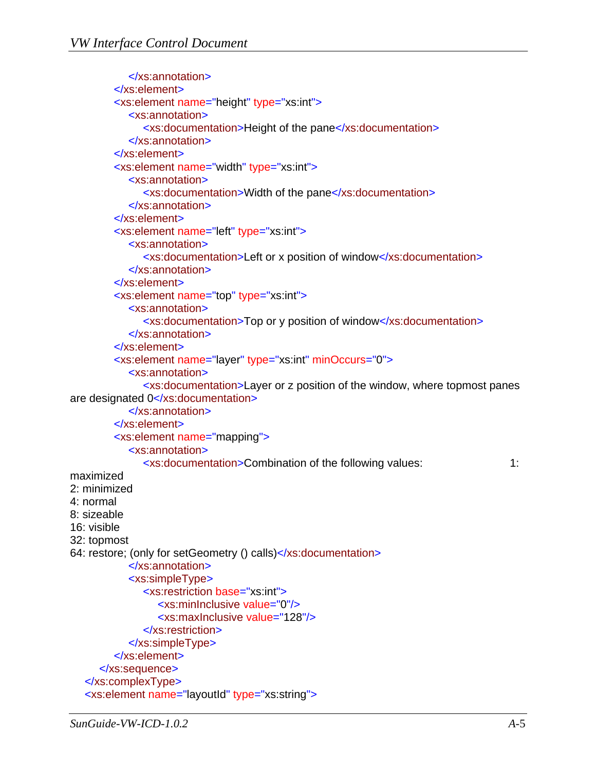```
 </xs:annotation>
         </xs:element>
         <xs:element name="height" type="xs:int">
            <xs:annotation>
               <xs:documentation>Height of the pane</xs:documentation>
            </xs:annotation>
         </xs:element>
         <xs:element name="width" type="xs:int">
            <xs:annotation>
               <xs:documentation>Width of the pane</xs:documentation>
            </xs:annotation>
         </xs:element>
         <xs:element name="left" type="xs:int">
            <xs:annotation>
               <xs:documentation>Left or x position of window</xs:documentation>
            </xs:annotation>
         </xs:element>
         <xs:element name="top" type="xs:int">
            <xs:annotation>
               <xs:documentation>Top or y position of window</xs:documentation>
            </xs:annotation>
         </xs:element>
         <xs:element name="layer" type="xs:int" minOccurs="0">
            <xs:annotation>
               <xs:documentation>Layer or z position of the window, where topmost panes 
are designated 0</xs:documentation>
            </xs:annotation>
         </xs:element>
         <xs:element name="mapping">
            <xs:annotation>
               <xs:documentation>Combination of the following values: 1: 
maximized 
2: minimized 
4: normal 
8: sizeable 
16: visible 
32: topmost 
64: restore; (only for setGeometry () calls)</xs:documentation>
            </xs:annotation>
            <xs:simpleType>
               <xs:restriction base="xs:int">
                  <xs:minInclusive value="0"/>
                  <xs:maxInclusive value="128"/>
               </xs:restriction>
            </xs:simpleType>
         </xs:element>
      </xs:sequence>
  </xs:complexType>
  <xs:element name="layoutId" type="xs:string">
```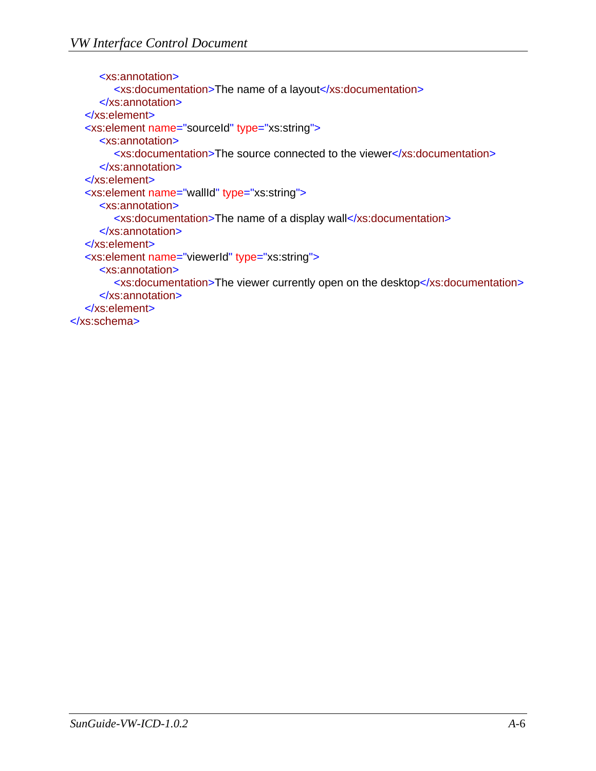```
 <xs:annotation>
         <xs:documentation>The name of a layout</xs:documentation>
      </xs:annotation>
  </xs:element>
  <xs:element name="sourceId" type="xs:string">
      <xs:annotation>
         <xs:documentation>The source connected to the viewer</xs:documentation>
      </xs:annotation>
  </xs:element>
  <xs:element name="wallId" type="xs:string">
      <xs:annotation>
         <xs:documentation>The name of a display wall</xs:documentation>
      </xs:annotation>
  </xs:element>
  <xs:element name="viewerId" type="xs:string">
      <xs:annotation>
         <xs:documentation>The viewer currently open on the desktop</xs:documentation>
      </xs:annotation>
  </xs:element>
</xs:schema>
```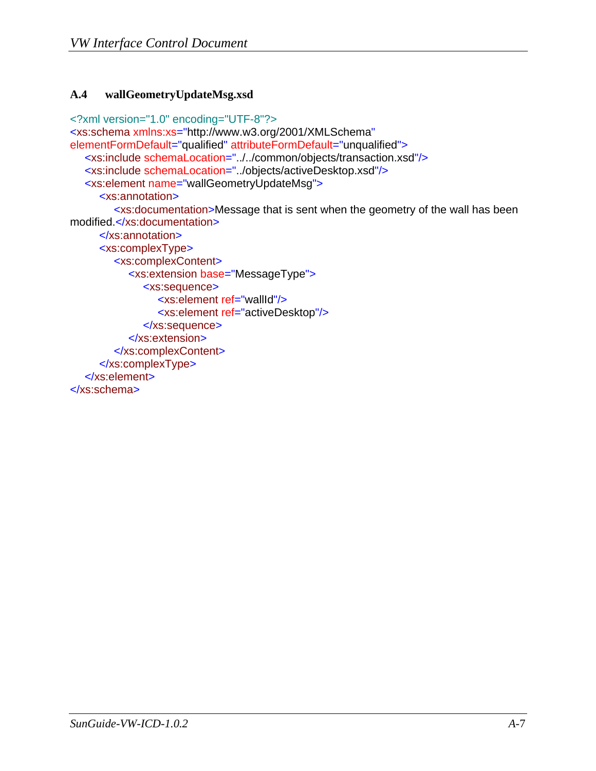#### <span id="page-25-1"></span><span id="page-25-0"></span>**A.4 wallGeometryUpdateMsg.xsd**

```
<?xml version="1.0" encoding="UTF-8"?>
<xs:schema xmlns:xs="http://www.w3.org/2001/XMLSchema"
elementFormDefault="qualified" attributeFormDefault="unqualified">
  <xs:include schemaLocation="../../common/objects/transaction.xsd"/>
  <xs:include schemaLocation="../objects/activeDesktop.xsd"/>
  <xs:element name="wallGeometryUpdateMsg">
      <xs:annotation>
         <xs:documentation>Message that is sent when the geometry of the wall has been 
modified.</xs:documentation>
      </xs:annotation>
      <xs:complexType>
         <xs:complexContent>
            <xs:extension base="MessageType">
               <xs:sequence>
                 <xs:element ref="wallId"/>
                 <xs:element ref="activeDesktop"/>
               </xs:sequence>
            </xs:extension>
         </xs:complexContent>
      </xs:complexType>
  </xs:element>
</xs:schema>
```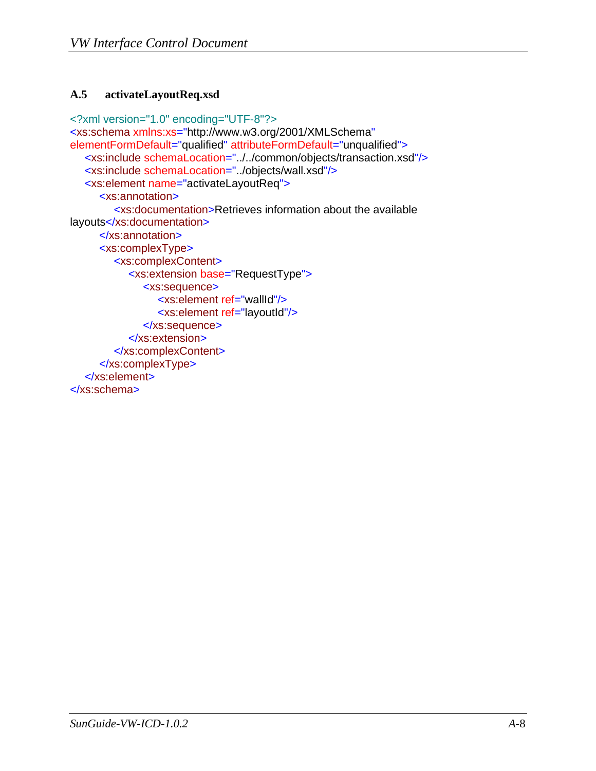#### <span id="page-26-1"></span><span id="page-26-0"></span>**A.5 activateLayoutReq.xsd**

```
<?xml version="1.0" encoding="UTF-8"?>
<xs:schema xmlns:xs="http://www.w3.org/2001/XMLSchema"
elementFormDefault="qualified" attributeFormDefault="unqualified">
  <xs:include schemaLocation="../../common/objects/transaction.xsd"/>
  <xs:include schemaLocation="../objects/wall.xsd"/>
  <xs:element name="activateLayoutReq">
      <xs:annotation>
         <xs:documentation>Retrieves information about the available 
layouts</xs:documentation>
      </xs:annotation>
      <xs:complexType>
         <xs:complexContent>
            <xs:extension base="RequestType">
               <xs:sequence>
                 <xs:element ref="wallId"/>
                 <xs:element ref="layoutId"/>
               </xs:sequence>
            </xs:extension>
         </xs:complexContent>
      </xs:complexType>
  </xs:element>
</xs:schema>
```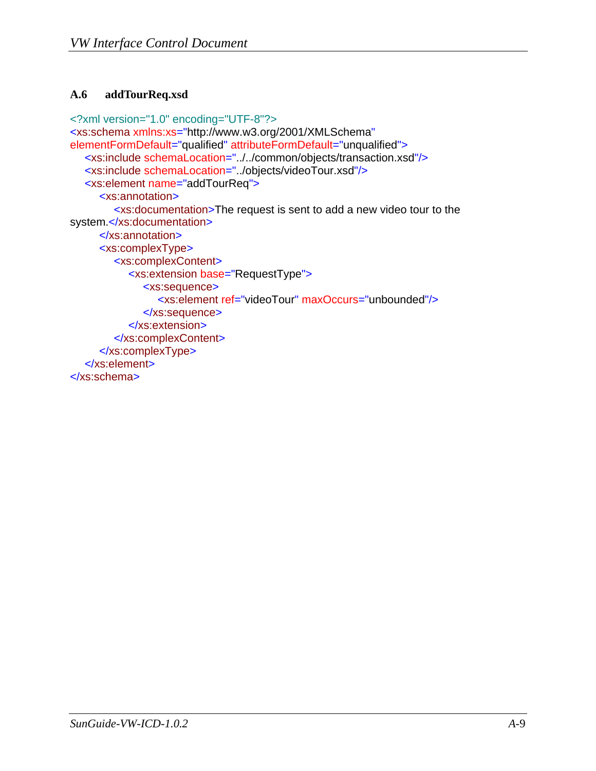#### <span id="page-27-1"></span><span id="page-27-0"></span>**A.6 addTourReq.xsd**

```
<?xml version="1.0" encoding="UTF-8"?>
<xs:schema xmlns:xs="http://www.w3.org/2001/XMLSchema"
elementFormDefault="qualified" attributeFormDefault="unqualified">
  <xs:include schemaLocation="../../common/objects/transaction.xsd"/>
  <xs:include schemaLocation="../objects/videoTour.xsd"/>
  <xs:element name="addTourReq">
      <xs:annotation>
         <xs:documentation>The request is sent to add a new video tour to the 
system.</xs:documentation>
      </xs:annotation>
      <xs:complexType>
         <xs:complexContent>
            <xs:extension base="RequestType">
               <xs:sequence>
                 <xs:element ref="videoTour" maxOccurs="unbounded"/>
              </xs:sequence>
            </xs:extension>
         </xs:complexContent>
      </xs:complexType>
  </xs:element>
</xs:schema>
```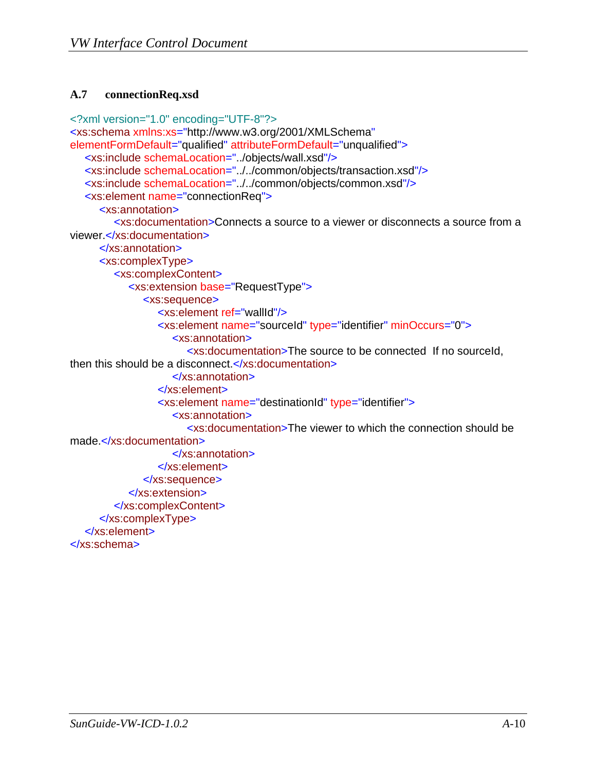#### <span id="page-28-1"></span><span id="page-28-0"></span>**A.7 connectionReq.xsd**

```
<?xml version="1.0" encoding="UTF-8"?>
<xs:schema xmlns:xs="http://www.w3.org/2001/XMLSchema"
elementFormDefault="qualified" attributeFormDefault="unqualified">
  <xs:include schemaLocation="../objects/wall.xsd"/>
  <xs:include schemaLocation="../../common/objects/transaction.xsd"/>
  <xs:include schemaLocation="../../common/objects/common.xsd"/>
  <xs:element name="connectionReq">
      <xs:annotation>
         <xs:documentation>Connects a source to a viewer or disconnects a source from a 
viewer.</xs:documentation>
      </xs:annotation>
      <xs:complexType>
         <xs:complexContent>
            <xs:extension base="RequestType">
               <xs:sequence>
                  <xs:element ref="wallId"/>
                  <xs:element name="sourceId" type="identifier" minOccurs="0">
                     <xs:annotation>
                       <xs:documentation>The source to be connected If no sourceId, 
then this should be a disconnect.</xs:documentation>
                     </xs:annotation>
                  </xs:element>
                  <xs:element name="destinationId" type="identifier">
                     <xs:annotation>
                       <xs:documentation>The viewer to which the connection should be 
made.</xs:documentation>
                    </xs:annotation>
                  </xs:element>
               </xs:sequence>
            </xs:extension>
         </xs:complexContent>
      </xs:complexType>
  </xs:element>
</xs:schema>
```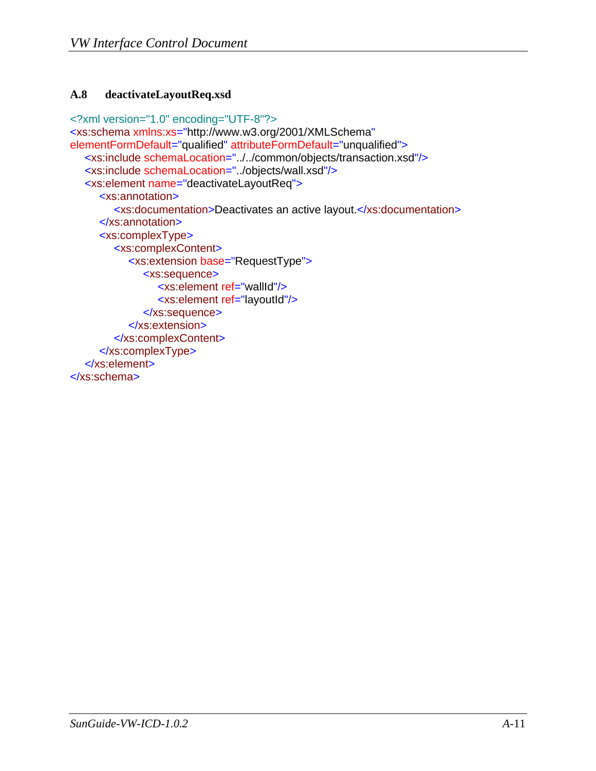#### <span id="page-29-1"></span><span id="page-29-0"></span>**A.8 deactivateLayoutReq.xsd**

```
<?xml version="1.0" encoding="UTF-8"?>
<xs:schema xmlns:xs="http://www.w3.org/2001/XMLSchema"
elementFormDefault="qualified" attributeFormDefault="unqualified">
  <xs:include schemaLocation="../../common/objects/transaction.xsd"/>
  <xs:include schemaLocation="../objects/wall.xsd"/>
  <xs:element name="deactivateLayoutReq">
      <xs:annotation>
         <xs:documentation>Deactivates an active layout.</xs:documentation>
      </xs:annotation>
      <xs:complexType>
         <xs:complexContent>
            <xs:extension base="RequestType">
               <xs:sequence>
                 <xs:element ref="wallId"/>
                 <xs:element ref="layoutId"/>
               </xs:sequence>
            </xs:extension>
         </xs:complexContent>
      </xs:complexType>
  </xs:element>
</xs:schema>
```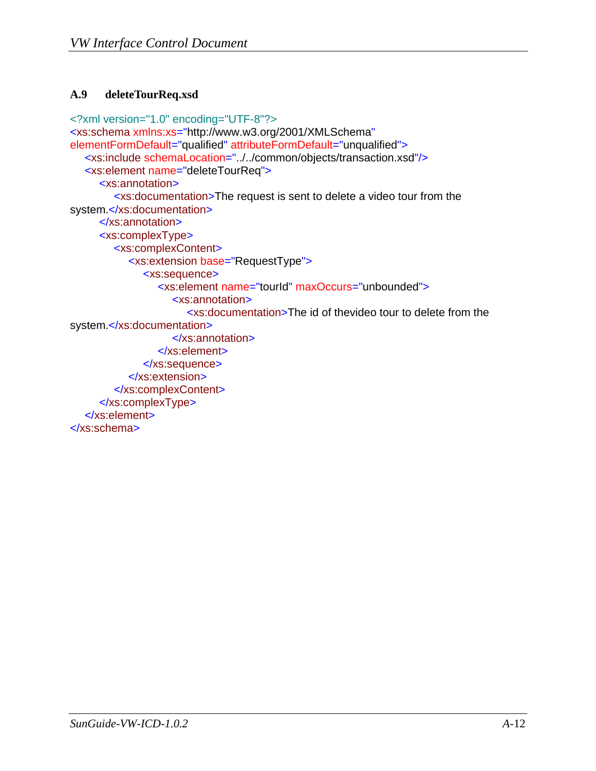#### <span id="page-30-1"></span><span id="page-30-0"></span>**A.9 deleteTourReq.xsd**

```
<?xml version="1.0" encoding="UTF-8"?>
<xs:schema xmlns:xs="http://www.w3.org/2001/XMLSchema"
elementFormDefault="qualified" attributeFormDefault="unqualified">
  <xs:include schemaLocation="../../common/objects/transaction.xsd"/>
  <xs:element name="deleteTourReq">
      <xs:annotation>
         <xs:documentation>The request is sent to delete a video tour from the 
system.</xs:documentation>
      </xs:annotation>
      <xs:complexType>
         <xs:complexContent>
            <xs:extension base="RequestType">
               <xs:sequence>
                 <xs:element name="tourId" maxOccurs="unbounded">
                    <xs:annotation>
                       <xs:documentation>The id of thevideo tour to delete from the 
system.</xs:documentation>
                    </xs:annotation>
                 </xs:element>
               </xs:sequence>
            </xs:extension>
         </xs:complexContent>
      </xs:complexType>
  </xs:element>
</xs:schema>
```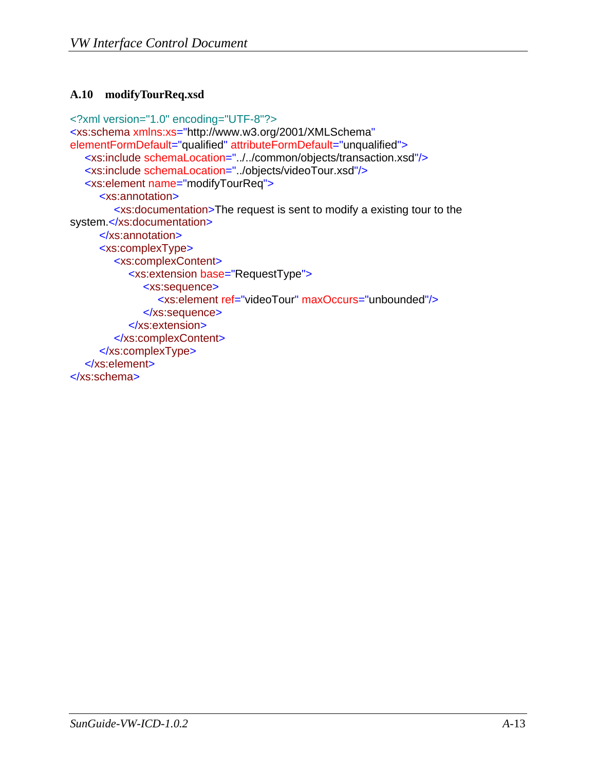#### <span id="page-31-1"></span><span id="page-31-0"></span>**A.10 modifyTourReq.xsd**

```
<?xml version="1.0" encoding="UTF-8"?>
<xs:schema xmlns:xs="http://www.w3.org/2001/XMLSchema"
elementFormDefault="qualified" attributeFormDefault="unqualified">
  <xs:include schemaLocation="../../common/objects/transaction.xsd"/>
  <xs:include schemaLocation="../objects/videoTour.xsd"/>
  <xs:element name="modifyTourReq">
      <xs:annotation>
         <xs:documentation>The request is sent to modify a existing tour to the 
system.</xs:documentation>
      </xs:annotation>
      <xs:complexType>
         <xs:complexContent>
            <xs:extension base="RequestType">
               <xs:sequence>
                 <xs:element ref="videoTour" maxOccurs="unbounded"/>
               </xs:sequence>
            </xs:extension>
         </xs:complexContent>
      </xs:complexType>
  </xs:element>
</xs:schema>
```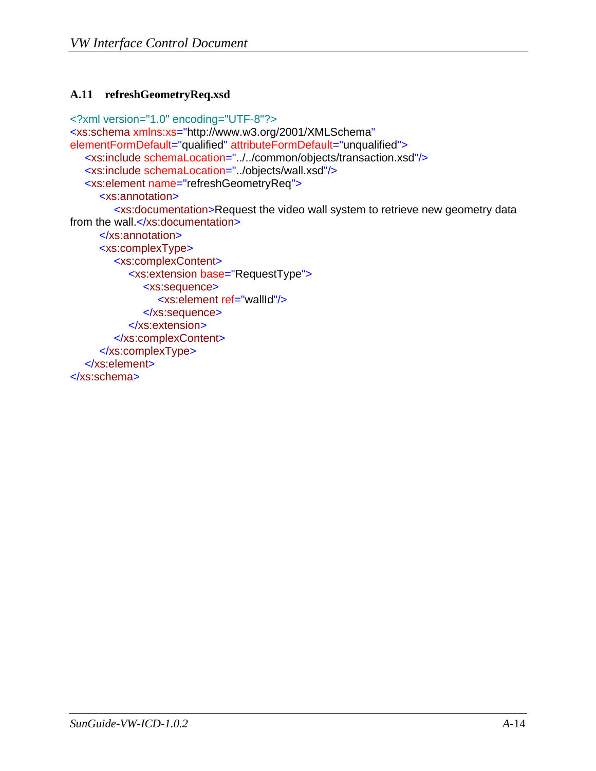#### <span id="page-32-1"></span><span id="page-32-0"></span>**A.11 refreshGeometryReq.xsd**

```
<?xml version="1.0" encoding="UTF-8"?>
<xs:schema xmlns:xs="http://www.w3.org/2001/XMLSchema"
elementFormDefault="qualified" attributeFormDefault="unqualified">
  <xs:include schemaLocation="../../common/objects/transaction.xsd"/>
  <xs:include schemaLocation="../objects/wall.xsd"/>
  <xs:element name="refreshGeometryReq">
      <xs:annotation>
         <xs:documentation>Request the video wall system to retrieve new geometry data 
from the wall.</xs:documentation>
      </xs:annotation>
      <xs:complexType>
         <xs:complexContent>
            <xs:extension base="RequestType">
               <xs:sequence>
                 <xs:element ref="wallId"/>
               </xs:sequence>
            </xs:extension>
         </xs:complexContent>
      </xs:complexType>
  </xs:element>
</xs:schema>
```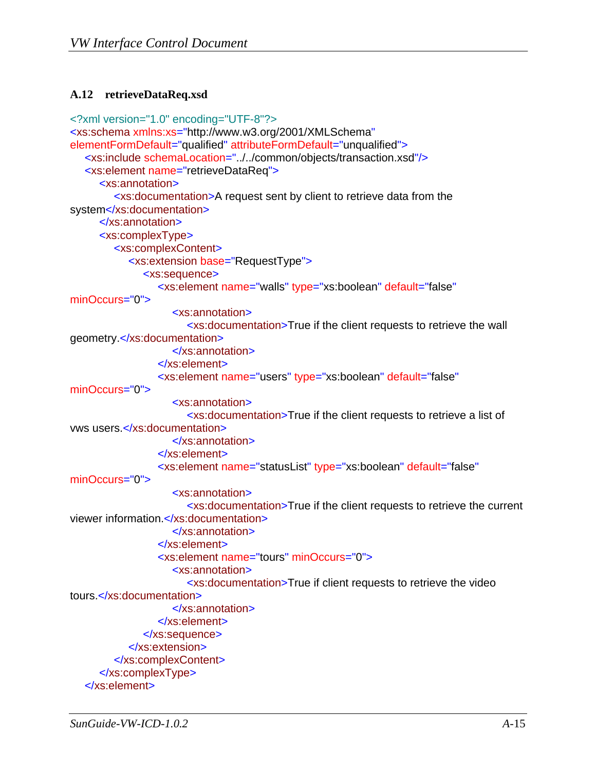#### <span id="page-33-1"></span><span id="page-33-0"></span>**A.12 retrieveDataReq.xsd**

```
<?xml version="1.0" encoding="UTF-8"?>
<xs:schema xmlns:xs="http://www.w3.org/2001/XMLSchema"
elementFormDefault="qualified" attributeFormDefault="unqualified">
  <xs:include schemaLocation="../../common/objects/transaction.xsd"/>
  <xs:element name="retrieveDataReq">
      <xs:annotation>
         <xs:documentation>A request sent by client to retrieve data from the 
system</xs:documentation>
      </xs:annotation>
      <xs:complexType>
         <xs:complexContent>
            <xs:extension base="RequestType">
               <xs:sequence>
                  <xs:element name="walls" type="xs:boolean" default="false"
minOccurs="0">
                     <xs:annotation>
                        <xs:documentation>True if the client requests to retrieve the wall 
geometry.</xs:documentation>
                     </xs:annotation>
                  </xs:element>
                  <xs:element name="users" type="xs:boolean" default="false"
minOccurs="0">
                     <xs:annotation>
                        <xs:documentation>True if the client requests to retrieve a list of 
vws users.</xs:documentation>
                     </xs:annotation>
                  </xs:element>
                  <xs:element name="statusList" type="xs:boolean" default="false"
minOccurs="0">
                     <xs:annotation>
                        <xs:documentation>True if the client requests to retrieve the current 
viewer information.</xs:documentation>
                     </xs:annotation>
                  </xs:element>
                  <xs:element name="tours" minOccurs="0">
                     <xs:annotation>
                        <xs:documentation>True if client requests to retrieve the video 
tours.</xs:documentation>
                     </xs:annotation>
                  </xs:element>
               </xs:sequence>
            </xs:extension>
         </xs:complexContent>
      </xs:complexType>
  </xs:element>
```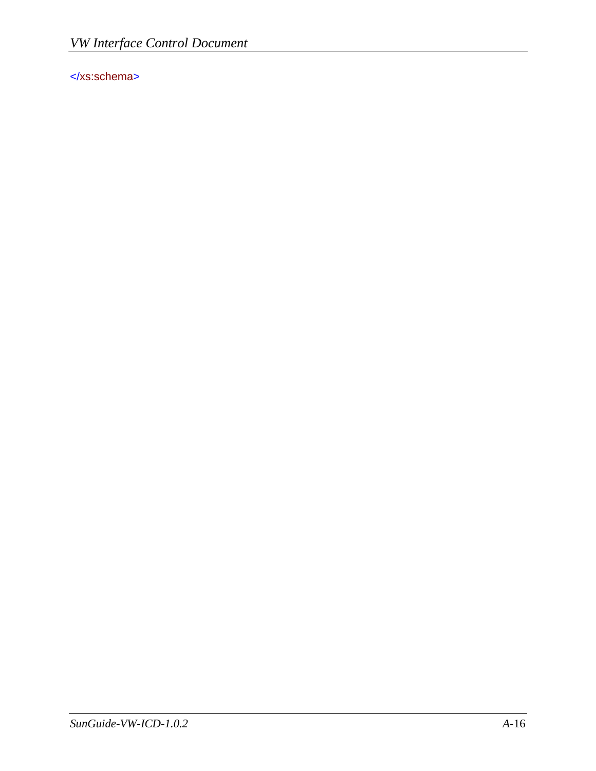</xs:schema>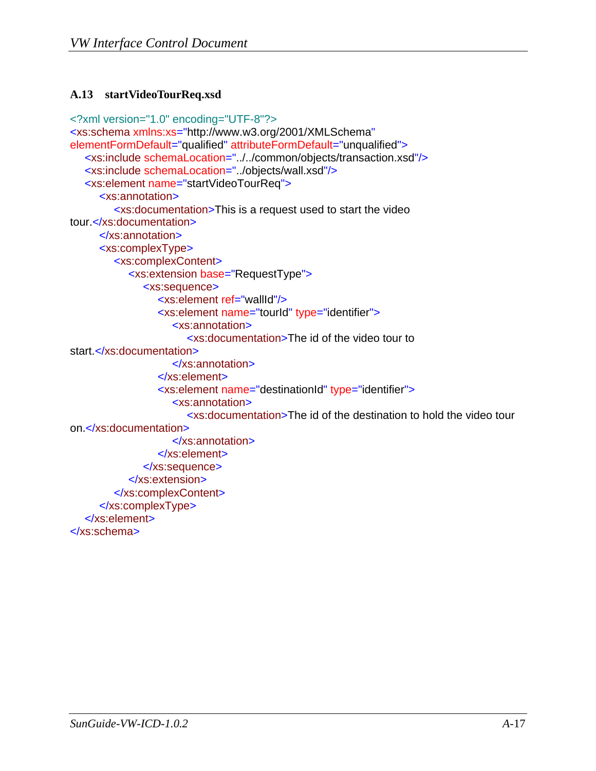#### <span id="page-35-1"></span><span id="page-35-0"></span>**A.13 startVideoTourReq.xsd**

```
<?xml version="1.0" encoding="UTF-8"?>
<xs:schema xmlns:xs="http://www.w3.org/2001/XMLSchema"
elementFormDefault="qualified" attributeFormDefault="unqualified">
  <xs:include schemaLocation="../../common/objects/transaction.xsd"/>
  <xs:include schemaLocation="../objects/wall.xsd"/>
  <xs:element name="startVideoTourReq">
      <xs:annotation>
         <xs:documentation>This is a request used to start the video 
tour.</xs:documentation>
      </xs:annotation>
      <xs:complexType>
         <xs:complexContent>
            <xs:extension base="RequestType">
               <xs:sequence>
                  <xs:element ref="wallId"/>
                  <xs:element name="tourId" type="identifier">
                     <xs:annotation>
                        <xs:documentation>The id of the video tour to 
start.</xs:documentation>
                     </xs:annotation>
                  </xs:element>
                  <xs:element name="destinationId" type="identifier">
                     <xs:annotation>
                        <xs:documentation>The id of the destination to hold the video tour 
on.</xs:documentation>
                     </xs:annotation>
                  </xs:element>
               </xs:sequence>
            </xs:extension>
         </xs:complexContent>
      </xs:complexType>
  </xs:element>
</xs:schema>
```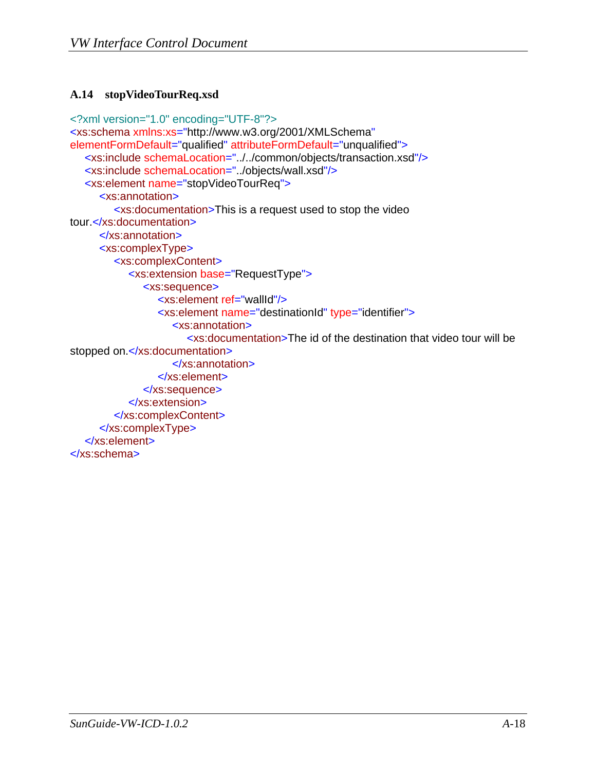#### <span id="page-36-1"></span><span id="page-36-0"></span>**A.14 stopVideoTourReq.xsd**

```
<?xml version="1.0" encoding="UTF-8"?>
<xs:schema xmlns:xs="http://www.w3.org/2001/XMLSchema"
elementFormDefault="qualified" attributeFormDefault="unqualified">
  <xs:include schemaLocation="../../common/objects/transaction.xsd"/>
  <xs:include schemaLocation="../objects/wall.xsd"/>
  <xs:element name="stopVideoTourReq">
      <xs:annotation>
         <xs:documentation>This is a request used to stop the video 
tour.</xs:documentation>
      </xs:annotation>
      <xs:complexType>
         <xs:complexContent>
            <xs:extension base="RequestType">
               <xs:sequence>
                  <xs:element ref="wallId"/>
                  <xs:element name="destinationId" type="identifier">
                     <xs:annotation>
                       <xs:documentation>The id of the destination that video tour will be 
stopped on.</xs:documentation>
                     </xs:annotation>
                  </xs:element>
               </xs:sequence>
            </xs:extension>
         </xs:complexContent>
      </xs:complexType>
  </xs:element>
</xs:schema>
```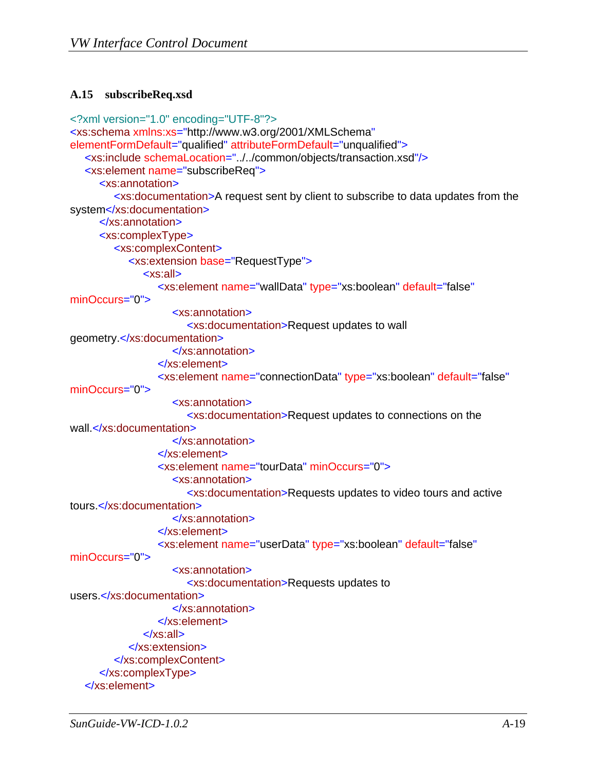#### <span id="page-37-1"></span><span id="page-37-0"></span>**A.15 subscribeReq.xsd**

```
<?xml version="1.0" encoding="UTF-8"?>
<xs:schema xmlns:xs="http://www.w3.org/2001/XMLSchema"
elementFormDefault="qualified" attributeFormDefault="unqualified">
  <xs:include schemaLocation="../../common/objects/transaction.xsd"/>
  <xs:element name="subscribeReq">
      <xs:annotation>
         <xs:documentation>A request sent by client to subscribe to data updates from the 
system</xs:documentation>
      </xs:annotation>
      <xs:complexType>
         <xs:complexContent>
            <xs:extension base="RequestType">
               <xs:all>
                  <xs:element name="wallData" type="xs:boolean" default="false"
minOccurs="0">
                     <xs:annotation>
                        <xs:documentation>Request updates to wall 
geometry.</xs:documentation>
                     </xs:annotation>
                  </xs:element>
                  <xs:element name="connectionData" type="xs:boolean" default="false"
minOccurs="0">
                     <xs:annotation>
                       <xs:documentation>Request updates to connections on the 
wall.</xs:documentation>
                     </xs:annotation>
                  </xs:element>
                  <xs:element name="tourData" minOccurs="0">
                     <xs:annotation>
                        <xs:documentation>Requests updates to video tours and active 
tours.</xs:documentation>
                     </xs:annotation>
                  </xs:element>
                  <xs:element name="userData" type="xs:boolean" default="false"
minOccurs="0">
                     <xs:annotation>
                        <xs:documentation>Requests updates to 
users.</xs:documentation>
                     </xs:annotation>
                  </xs:element>
               </xs:all>
            </xs:extension>
         </xs:complexContent>
      </xs:complexType>
  </xs:element>
```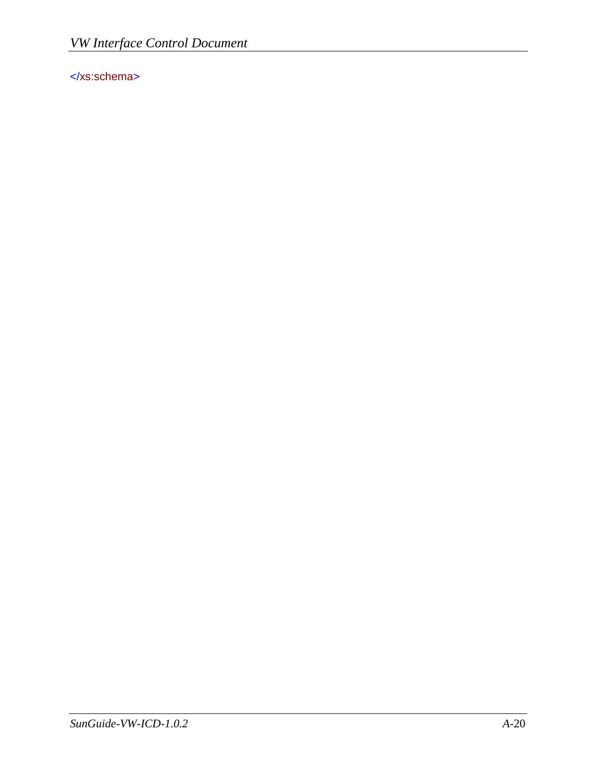</xs:schema>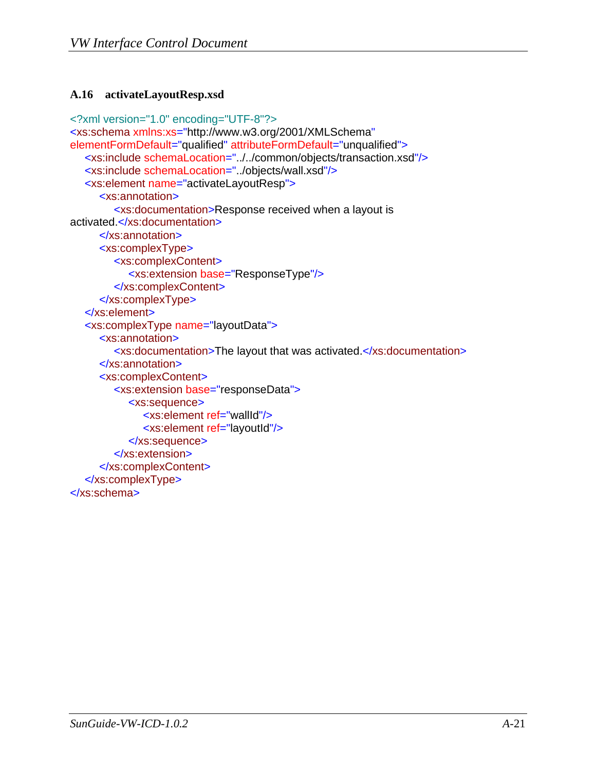#### <span id="page-39-1"></span><span id="page-39-0"></span>**A.16 activateLayoutResp.xsd**

```
<?xml version="1.0" encoding="UTF-8"?>
<xs:schema xmlns:xs="http://www.w3.org/2001/XMLSchema"
elementFormDefault="qualified" attributeFormDefault="unqualified">
  <xs:include schemaLocation="../../common/objects/transaction.xsd"/>
  <xs:include schemaLocation="../objects/wall.xsd"/>
  <xs:element name="activateLayoutResp">
      <xs:annotation>
         <xs:documentation>Response received when a layout is 
activated.</xs:documentation>
      </xs:annotation>
      <xs:complexType>
         <xs:complexContent>
            <xs:extension base="ResponseType"/>
         </xs:complexContent>
      </xs:complexType>
  </xs:element>
  <xs:complexType name="layoutData">
      <xs:annotation>
         <xs:documentation>The layout that was activated.</xs:documentation>
      </xs:annotation>
      <xs:complexContent>
         <xs:extension base="responseData">
            <xs:sequence>
               <xs:element ref="wallId"/>
               <xs:element ref="layoutId"/>
            </xs:sequence>
         </xs:extension>
      </xs:complexContent>
  </xs:complexType>
</xs:schema>
```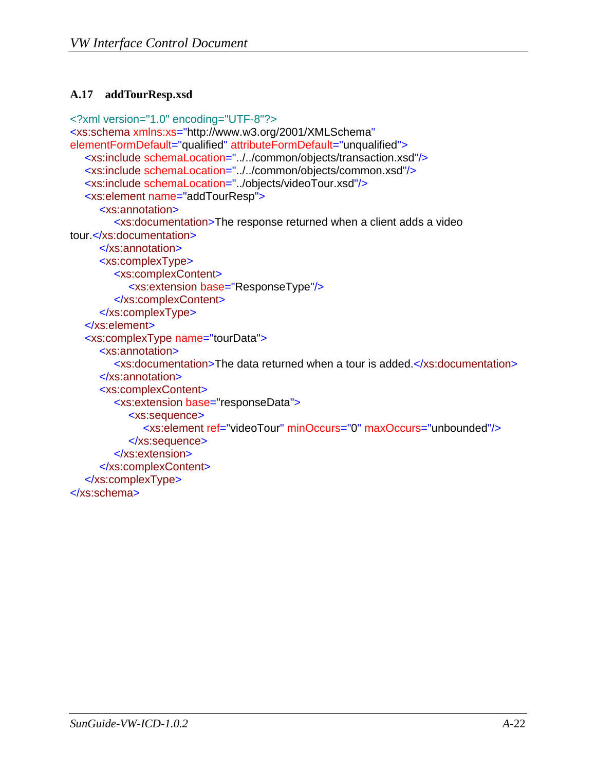#### <span id="page-40-1"></span><span id="page-40-0"></span>**A.17 addTourResp.xsd**

```
<?xml version="1.0" encoding="UTF-8"?>
<xs:schema xmlns:xs="http://www.w3.org/2001/XMLSchema"
elementFormDefault="qualified" attributeFormDefault="unqualified">
  <xs:include schemaLocation="../../common/objects/transaction.xsd"/>
  <xs:include schemaLocation="../../common/objects/common.xsd"/>
  <xs:include schemaLocation="../objects/videoTour.xsd"/>
  <xs:element name="addTourResp">
      <xs:annotation>
         <xs:documentation>The response returned when a client adds a video 
tour.</xs:documentation>
      </xs:annotation>
      <xs:complexType>
         <xs:complexContent>
            <xs:extension base="ResponseType"/>
         </xs:complexContent>
      </xs:complexType>
  </xs:element>
  <xs:complexType name="tourData">
      <xs:annotation>
         <xs:documentation>The data returned when a tour is added.</xs:documentation>
      </xs:annotation>
      <xs:complexContent>
         <xs:extension base="responseData">
            <xs:sequence>
               <xs:element ref="videoTour" minOccurs="0" maxOccurs="unbounded"/>
            </xs:sequence>
         </xs:extension>
      </xs:complexContent>
  </xs:complexType>
</xs:schema>
```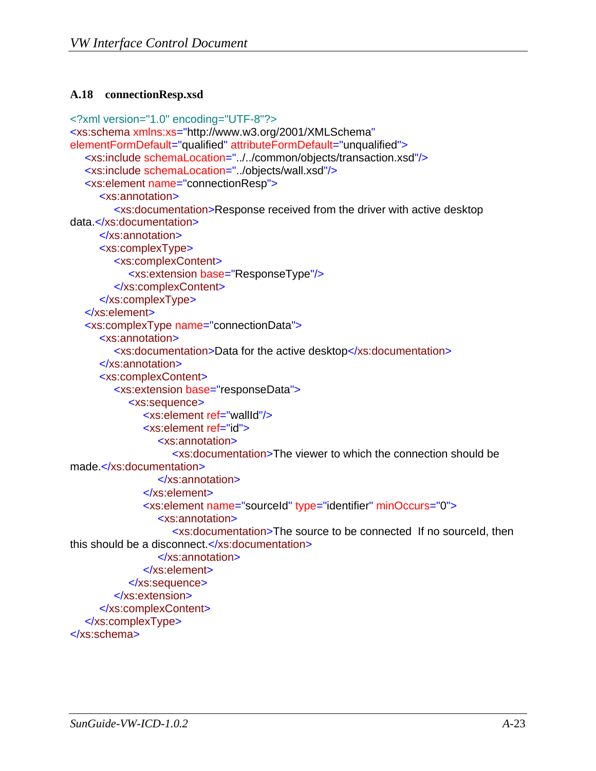#### <span id="page-41-1"></span><span id="page-41-0"></span>**A.18 connectionResp.xsd**

```
<?xml version="1.0" encoding="UTF-8"?>
<xs:schema xmlns:xs="http://www.w3.org/2001/XMLSchema"
elementFormDefault="qualified" attributeFormDefault="unqualified">
  <xs:include schemaLocation="../../common/objects/transaction.xsd"/>
  <xs:include schemaLocation="../objects/wall.xsd"/>
  <xs:element name="connectionResp">
      <xs:annotation>
         <xs:documentation>Response received from the driver with active desktop 
data.</xs:documentation>
      </xs:annotation>
      <xs:complexType>
         <xs:complexContent>
            <xs:extension base="ResponseType"/>
         </xs:complexContent>
      </xs:complexType>
  </xs:element>
  <xs:complexType name="connectionData">
      <xs:annotation>
         <xs:documentation>Data for the active desktop</xs:documentation>
      </xs:annotation>
      <xs:complexContent>
         <xs:extension base="responseData">
            <xs:sequence>
               <xs:element ref="wallId"/>
               <xs:element ref="id">
                  <xs:annotation>
                    <xs:documentation>The viewer to which the connection should be 
made.</xs:documentation>
                  </xs:annotation>
               </xs:element>
               <xs:element name="sourceId" type="identifier" minOccurs="0">
                  <xs:annotation>
                     <xs:documentation>The source to be connected If no sourceId, then 
this should be a disconnect.</xs:documentation>
                  </xs:annotation>
               </xs:element>
            </xs:sequence>
         </xs:extension>
      </xs:complexContent>
  </xs:complexType>
</xs:schema>
```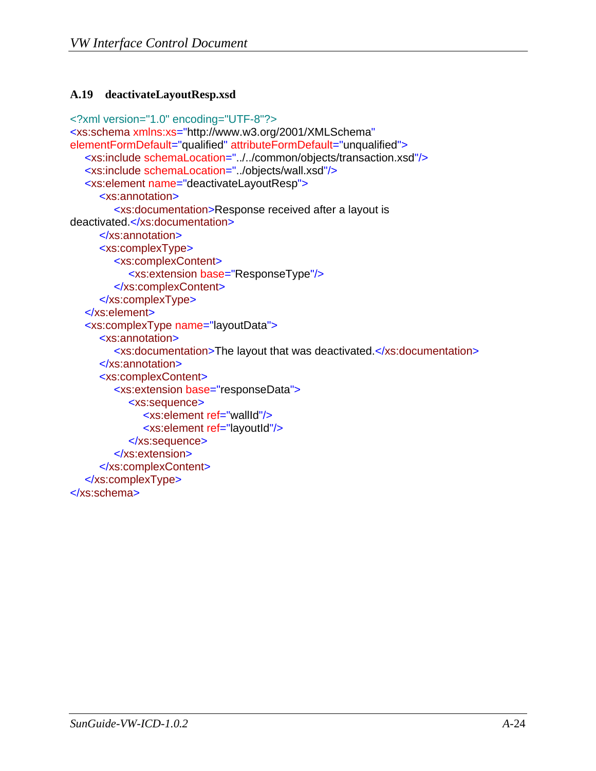#### <span id="page-42-1"></span><span id="page-42-0"></span>**A.19 deactivateLayoutResp.xsd**

```
<?xml version="1.0" encoding="UTF-8"?>
<xs:schema xmlns:xs="http://www.w3.org/2001/XMLSchema"
elementFormDefault="qualified" attributeFormDefault="unqualified">
  <xs:include schemaLocation="../../common/objects/transaction.xsd"/>
  <xs:include schemaLocation="../objects/wall.xsd"/>
  <xs:element name="deactivateLayoutResp">
      <xs:annotation>
         <xs:documentation>Response received after a layout is 
deactivated.</xs:documentation>
      </xs:annotation>
      <xs:complexType>
         <xs:complexContent>
            <xs:extension base="ResponseType"/>
         </xs:complexContent>
      </xs:complexType>
  </xs:element>
  <xs:complexType name="layoutData">
      <xs:annotation>
         <xs:documentation>The layout that was deactivated.</xs:documentation>
      </xs:annotation>
      <xs:complexContent>
         <xs:extension base="responseData">
            <xs:sequence>
               <xs:element ref="wallId"/>
               <xs:element ref="layoutId"/>
            </xs:sequence>
         </xs:extension>
      </xs:complexContent>
  </xs:complexType>
</xs:schema>
```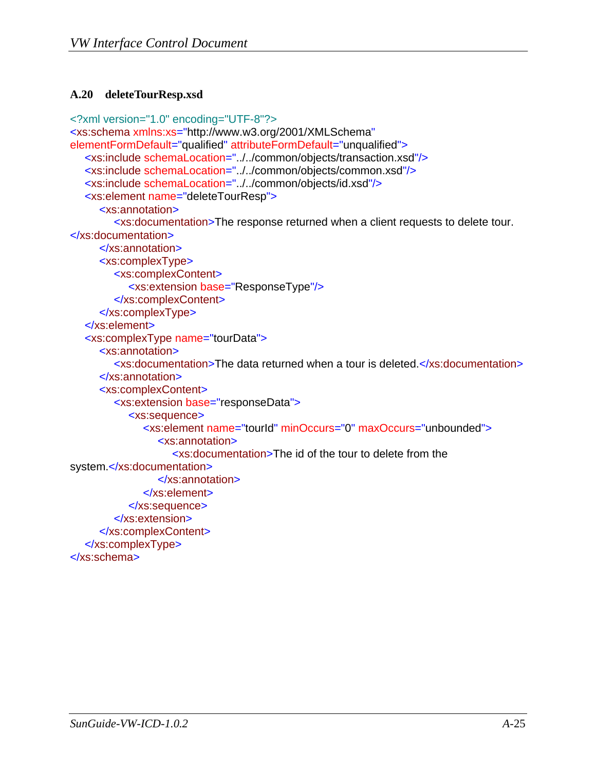#### <span id="page-43-1"></span><span id="page-43-0"></span>**A.20 deleteTourResp.xsd**

```
<?xml version="1.0" encoding="UTF-8"?>
<xs:schema xmlns:xs="http://www.w3.org/2001/XMLSchema"
elementFormDefault="qualified" attributeFormDefault="unqualified">
  <xs:include schemaLocation="../../common/objects/transaction.xsd"/>
  <xs:include schemaLocation="../../common/objects/common.xsd"/>
  <xs:include schemaLocation="../../common/objects/id.xsd"/>
  <xs:element name="deleteTourResp">
      <xs:annotation>
         <xs:documentation>The response returned when a client requests to delete tour. 
</xs:documentation>
      </xs:annotation>
      <xs:complexType>
         <xs:complexContent>
            <xs:extension base="ResponseType"/>
         </xs:complexContent>
      </xs:complexType>
  </xs:element>
  <xs:complexType name="tourData">
      <xs:annotation>
         <xs:documentation>The data returned when a tour is deleted.</xs:documentation>
      </xs:annotation>
      <xs:complexContent>
         <xs:extension base="responseData">
            <xs:sequence>
               <xs:element name="tourId" minOccurs="0" maxOccurs="unbounded">
                 <xs:annotation>
                    <xs:documentation>The id of the tour to delete from the 
system.</xs:documentation>
                 </xs:annotation>
               </xs:element>
            </xs:sequence>
         </xs:extension>
      </xs:complexContent>
  </xs:complexType>
</xs:schema>
```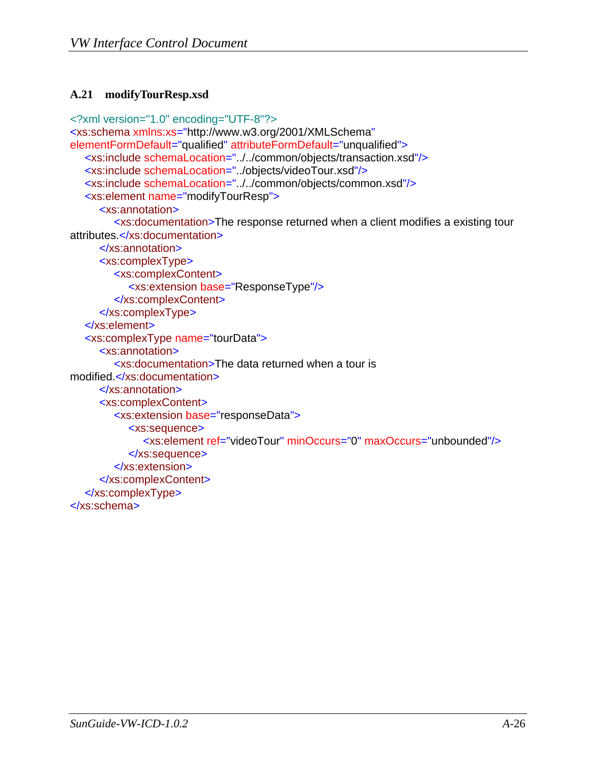#### <span id="page-44-1"></span><span id="page-44-0"></span>**A.21 modifyTourResp.xsd**

```
<?xml version="1.0" encoding="UTF-8"?>
<xs:schema xmlns:xs="http://www.w3.org/2001/XMLSchema"
elementFormDefault="qualified" attributeFormDefault="unqualified">
  <xs:include schemaLocation="../../common/objects/transaction.xsd"/>
  <xs:include schemaLocation="../objects/videoTour.xsd"/>
  <xs:include schemaLocation="../../common/objects/common.xsd"/>
  <xs:element name="modifyTourResp">
      <xs:annotation>
         <xs:documentation>The response returned when a client modifies a existing tour 
attributes.</xs:documentation>
      </xs:annotation>
      <xs:complexType>
         <xs:complexContent>
            <xs:extension base="ResponseType"/>
         </xs:complexContent>
      </xs:complexType>
  </xs:element>
  <xs:complexType name="tourData">
      <xs:annotation>
         <xs:documentation>The data returned when a tour is 
modified.</xs:documentation>
      </xs:annotation>
      <xs:complexContent>
         <xs:extension base="responseData">
            <xs:sequence>
               <xs:element ref="videoTour" minOccurs="0" maxOccurs="unbounded"/>
            </xs:sequence>
         </xs:extension>
      </xs:complexContent>
  </xs:complexType>
</xs:schema>
```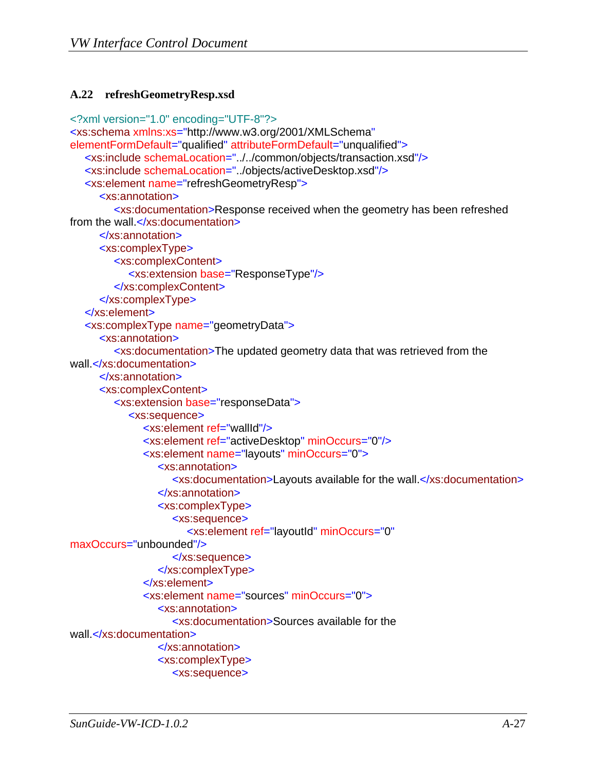#### <span id="page-45-1"></span><span id="page-45-0"></span>**A.22 refreshGeometryResp.xsd**

```
<?xml version="1.0" encoding="UTF-8"?>
<xs:schema xmlns:xs="http://www.w3.org/2001/XMLSchema"
elementFormDefault="qualified" attributeFormDefault="unqualified">
  <xs:include schemaLocation="../../common/objects/transaction.xsd"/>
  <xs:include schemaLocation="../objects/activeDesktop.xsd"/>
  <xs:element name="refreshGeometryResp">
      <xs:annotation>
         <xs:documentation>Response received when the geometry has been refreshed 
from the wall.</xs:documentation>
      </xs:annotation>
      <xs:complexType>
         <xs:complexContent>
            <xs:extension base="ResponseType"/>
         </xs:complexContent>
      </xs:complexType>
  </xs:element>
  <xs:complexType name="geometryData">
      <xs:annotation>
         <xs:documentation>The updated geometry data that was retrieved from the 
wall.</xs:documentation>
      </xs:annotation>
      <xs:complexContent>
         <xs:extension base="responseData">
            <xs:sequence>
               <xs:element ref="wallId"/>
               <xs:element ref="activeDesktop" minOccurs="0"/>
               <xs:element name="layouts" minOccurs="0">
                 <xs:annotation>
                    <xs:documentation>Layouts available for the wall.</xs:documentation>
                 </xs:annotation>
                 <xs:complexType>
                    <xs:sequence>
                       <xs:element ref="layoutId" minOccurs="0"
maxOccurs="unbounded"/>
                    </xs:sequence>
                 </xs:complexType>
               </xs:element>
               <xs:element name="sources" minOccurs="0">
                 <xs:annotation>
                    <xs:documentation>Sources available for the 
wall.</xs:documentation>
                 </xs:annotation>
                  <xs:complexType>
                    <xs:sequence>
```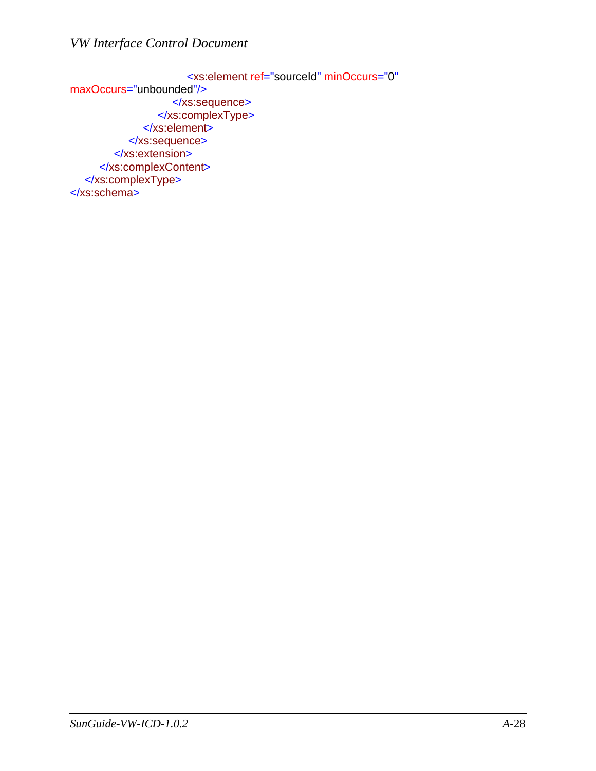<xs:element ref="sourceId" minOccurs="0" maxOccurs="unbounded"/> </xs:sequence> </xs:complexType> </xs:element> </xs:sequence> </xs:extension> </xs:complexContent> </xs:complexType> </xs:schema>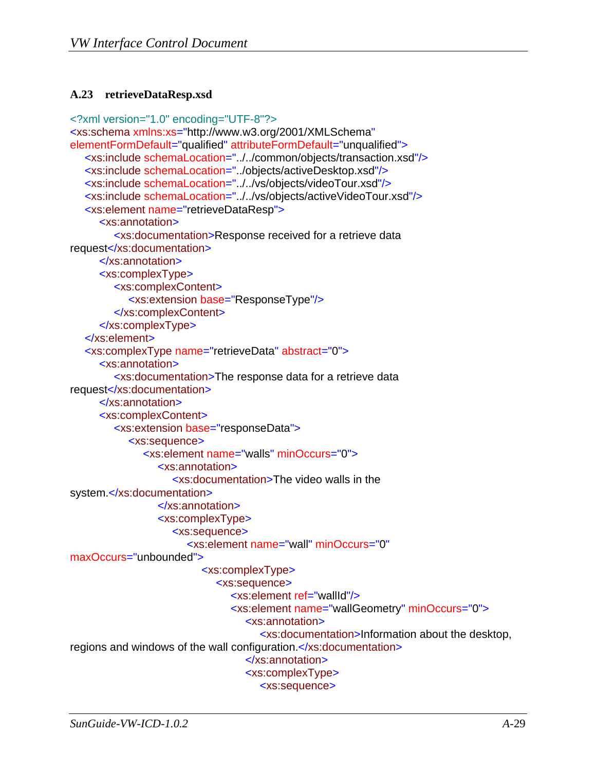#### <span id="page-47-1"></span><span id="page-47-0"></span>**A.23 retrieveDataResp.xsd**

```
<?xml version="1.0" encoding="UTF-8"?>
<xs:schema xmlns:xs="http://www.w3.org/2001/XMLSchema"
elementFormDefault="qualified" attributeFormDefault="unqualified">
  <xs:include schemaLocation="../../common/objects/transaction.xsd"/>
  <xs:include schemaLocation="../objects/activeDesktop.xsd"/>
  <xs:include schemaLocation="../../vs/objects/videoTour.xsd"/>
  <xs:include schemaLocation="../../vs/objects/activeVideoTour.xsd"/>
  <xs:element name="retrieveDataResp">
      <xs:annotation>
         <xs:documentation>Response received for a retrieve data 
request</xs:documentation>
      </xs:annotation>
      <xs:complexType>
         <xs:complexContent>
            <xs:extension base="ResponseType"/>
         </xs:complexContent>
      </xs:complexType>
  </xs:element>
  <xs:complexType name="retrieveData" abstract="0">
      <xs:annotation>
         <xs:documentation>The response data for a retrieve data 
request</xs:documentation>
      </xs:annotation>
      <xs:complexContent>
         <xs:extension base="responseData">
            <xs:sequence>
               <xs:element name="walls" minOccurs="0">
                 <xs:annotation>
                    <xs:documentation>The video walls in the 
system.</xs:documentation>
                 </xs:annotation>
                 <xs:complexType>
                    <xs:sequence>
                       <xs:element name="wall" minOccurs="0"
maxOccurs="unbounded">
                          <xs:complexType>
                             <xs:sequence>
                                <xs:element ref="wallId"/>
                                <xs:element name="wallGeometry" minOccurs="0">
                                   <xs:annotation>
                                     <xs:documentation>Information about the desktop, 
regions and windows of the wall configuration.</xs:documentation>
                                   </xs:annotation>
                                  <xs:complexType>
                                     <xs:sequence>
```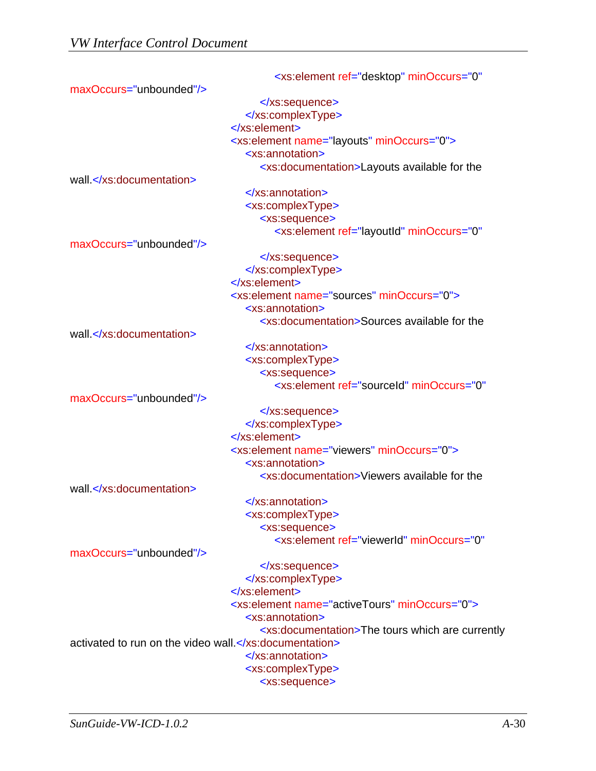|                                    | <xs:element <="" minoccurs="0" ref="desktop" th=""></xs:element>   |
|------------------------------------|--------------------------------------------------------------------|
| maxOccurs="unbounded"/>            |                                                                    |
|                                    | $\langle$ xs:sequence>                                             |
|                                    |                                                                    |
|                                    | $\langle$ xs:element>                                              |
|                                    | <xs:element minoccurs="0" name="layouts"></xs:element>             |
|                                    | <xs:annotation></xs:annotation>                                    |
|                                    | <xs:documentation>Layouts available for the</xs:documentation>     |
| wall.                              |                                                                    |
|                                    | $\le$ /xs:annotation>                                              |
|                                    | <xs:complextype></xs:complextype>                                  |
|                                    | <xs:sequence></xs:sequence>                                        |
|                                    | <xs:element <="" minoccurs="0" ref="layoutId" td=""></xs:element>  |
| maxOccurs="unbounded"/>            |                                                                    |
|                                    | $\langle$ xs:sequence>                                             |
|                                    |                                                                    |
|                                    |                                                                    |
|                                    | <xs:element minoccurs="0" name="sources"></xs:element>             |
|                                    | <xs:annotation></xs:annotation>                                    |
|                                    | <xs:documentation>Sources available for the</xs:documentation>     |
| wall.                              |                                                                    |
|                                    | $\le$ /xs:annotation>                                              |
|                                    | <xs:complextype></xs:complextype>                                  |
|                                    | <xs:sequence></xs:sequence>                                        |
|                                    | <xs:element <="" minoccurs="0" ref="sourceId" td=""></xs:element>  |
| maxOccurs="unbounded"/>            |                                                                    |
|                                    | $\langle$ xs:sequence>                                             |
|                                    |                                                                    |
|                                    | $\langle$ xs:element>                                              |
|                                    | <xs:element minoccurs="0" name="viewers"></xs:element>             |
|                                    | <xs:annotation></xs:annotation>                                    |
|                                    | <xs:documentation>Viewers available for the</xs:documentation>     |
| wall.                              |                                                                    |
|                                    | $\langle$ xs: annotation >                                         |
|                                    | <xs:complextype></xs:complextype>                                  |
|                                    | <xs:sequence></xs:sequence>                                        |
|                                    | <xs:element <="" minoccurs="0" ref="viewerld" td=""></xs:element>  |
| maxOccurs="unbounded"/>            |                                                                    |
|                                    |                                                                    |
|                                    |                                                                    |
|                                    | $\langle$ xs:element>                                              |
|                                    | <xs:element minoccurs="0" name="activeTours"></xs:element>         |
|                                    | <xs:annotation></xs:annotation>                                    |
|                                    | <xs:documentation>The tours which are currently</xs:documentation> |
| activated to run on the video wall |                                                                    |
|                                    | $\le$ /xs:annotation>                                              |
|                                    | <xs:complextype></xs:complextype>                                  |
|                                    | <xs:sequence></xs:sequence>                                        |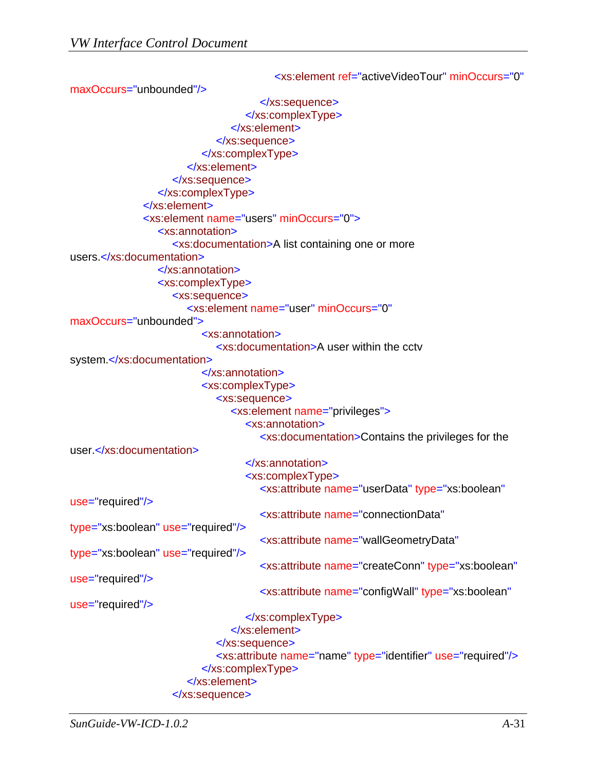<xs:element ref="activeVideoTour" minOccurs="0" maxOccurs="unbounded"/> </xs:sequence> </xs:complexType> </xs:element> </xs:sequence> </xs:complexType> </xs:element> </xs:sequence> </xs:complexType> </xs:element> <xs:element name="users" minOccurs="0"> <xs:annotation> <xs:documentation>A list containing one or more users.</xs:documentation> </xs:annotation> <xs:complexType> <xs:sequence> <xs:element name="user" minOccurs="0" maxOccurs="unbounded"> <xs:annotation> <xs:documentation>A user within the cctv system.</xs:documentation> </xs:annotation> <xs:complexType> <xs:sequence> <xs:element name="privileges"> <xs:annotation> <xs:documentation>Contains the privileges for the user.</xs:documentation> </xs:annotation> <xs:complexType> <xs:attribute name="userData" type="xs:boolean" use="required"/> <xs:attribute name="connectionData" type="xs:boolean" use="required"/> <xs:attribute name="wallGeometryData" type="xs:boolean" use="required"/> <xs:attribute name="createConn" type="xs:boolean" use="required"/> <xs:attribute name="configWall" type="xs:boolean" use="required"/> </xs:complexType> </xs:element> </xs:sequence> <xs:attribute name="name" type="identifier" use="required"/> </xs:complexType> </xs:element> </xs:sequence>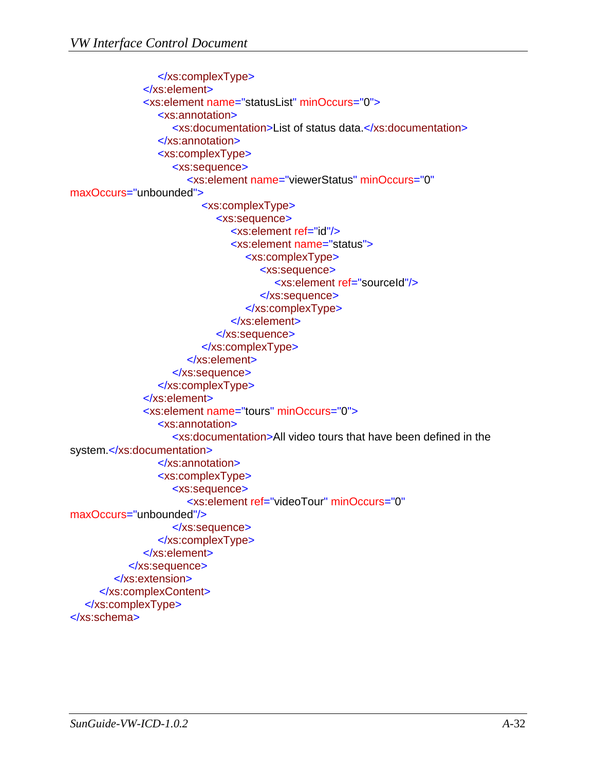```
 </xs:complexType>
               </xs:element>
               <xs:element name="statusList" minOccurs="0">
                  <xs:annotation>
                     <xs:documentation>List of status data.</xs:documentation>
                  </xs:annotation>
                  <xs:complexType>
                     <xs:sequence>
                       <xs:element name="viewerStatus" minOccurs="0"
maxOccurs="unbounded">
                          <xs:complexType>
                             <xs:sequence>
                                <xs:element ref="id"/>
                                <xs:element name="status">
                                   <xs:complexType>
                                     <xs:sequence>
                                        <xs:element ref="sourceId"/>
                                     </xs:sequence>
                                   </xs:complexType>
                                </xs:element>
                             </xs:sequence>
                          </xs:complexType>
                       </xs:element>
                     </xs:sequence>
                  </xs:complexType>
               </xs:element>
               <xs:element name="tours" minOccurs="0">
                  <xs:annotation>
                     <xs:documentation>All video tours that have been defined in the 
system.</xs:documentation>
                  </xs:annotation>
                  <xs:complexType>
                     <xs:sequence>
                       <xs:element ref="videoTour" minOccurs="0"
maxOccurs="unbounded"/>
                    </xs:sequence>
                  </xs:complexType>
               </xs:element>
            </xs:sequence>
         </xs:extension>
      </xs:complexContent>
  </xs:complexType>
</xs:schema>
```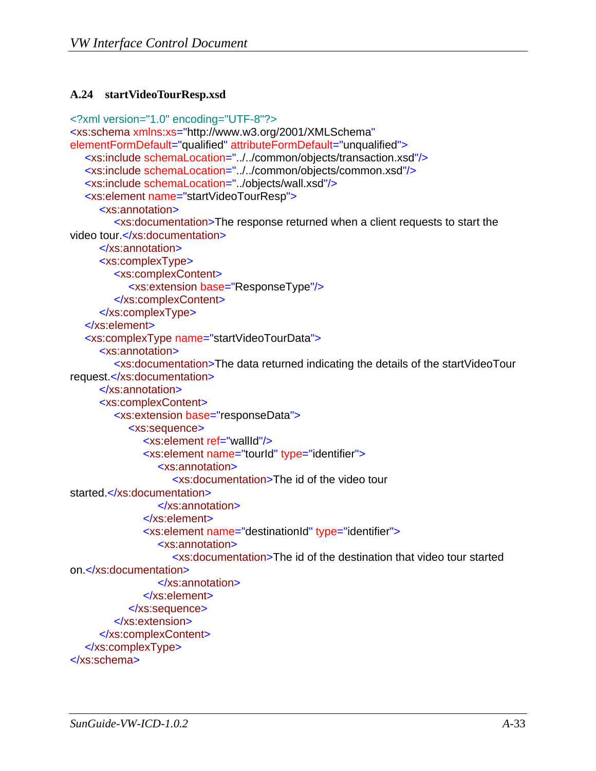#### <span id="page-51-1"></span><span id="page-51-0"></span>**A.24 startVideoTourResp.xsd**

```
<?xml version="1.0" encoding="UTF-8"?>
<xs:schema xmlns:xs="http://www.w3.org/2001/XMLSchema"
elementFormDefault="qualified" attributeFormDefault="unqualified">
  <xs:include schemaLocation="../../common/objects/transaction.xsd"/>
  <xs:include schemaLocation="../../common/objects/common.xsd"/>
  <xs:include schemaLocation="../objects/wall.xsd"/>
  <xs:element name="startVideoTourResp">
      <xs:annotation>
         <xs:documentation>The response returned when a client requests to start the 
video tour.</xs:documentation>
      </xs:annotation>
      <xs:complexType>
         <xs:complexContent>
            <xs:extension base="ResponseType"/>
         </xs:complexContent>
      </xs:complexType>
  </xs:element>
  <xs:complexType name="startVideoTourData">
      <xs:annotation>
         <xs:documentation>The data returned indicating the details of the startVideoTour 
request.</xs:documentation>
      </xs:annotation>
      <xs:complexContent>
         <xs:extension base="responseData">
            <xs:sequence>
               <xs:element ref="wallId"/>
               <xs:element name="tourId" type="identifier">
                  <xs:annotation>
                     <xs:documentation>The id of the video tour 
started.</xs:documentation>
                  </xs:annotation>
               </xs:element>
               <xs:element name="destinationId" type="identifier">
                  <xs:annotation>
                     <xs:documentation>The id of the destination that video tour started 
on.</xs:documentation>
                  </xs:annotation>
               </xs:element>
            </xs:sequence>
         </xs:extension>
      </xs:complexContent>
  </xs:complexType>
</xs:schema>
```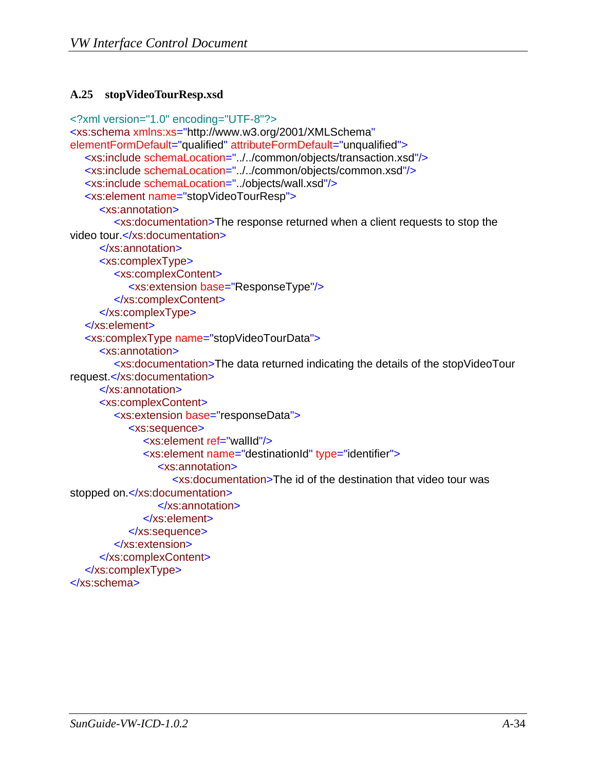#### <span id="page-52-1"></span><span id="page-52-0"></span>**A.25 stopVideoTourResp.xsd**

```
<?xml version="1.0" encoding="UTF-8"?>
<xs:schema xmlns:xs="http://www.w3.org/2001/XMLSchema"
elementFormDefault="qualified" attributeFormDefault="unqualified">
  <xs:include schemaLocation="../../common/objects/transaction.xsd"/>
  <xs:include schemaLocation="../../common/objects/common.xsd"/>
  <xs:include schemaLocation="../objects/wall.xsd"/>
  <xs:element name="stopVideoTourResp">
      <xs:annotation>
         <xs:documentation>The response returned when a client requests to stop the 
video tour.</xs:documentation>
      </xs:annotation>
      <xs:complexType>
         <xs:complexContent>
            <xs:extension base="ResponseType"/>
         </xs:complexContent>
      </xs:complexType>
  </xs:element>
  <xs:complexType name="stopVideoTourData">
      <xs:annotation>
         <xs:documentation>The data returned indicating the details of the stopVideoTour 
request.</xs:documentation>
      </xs:annotation>
      <xs:complexContent>
         <xs:extension base="responseData">
            <xs:sequence>
               <xs:element ref="wallId"/>
               <xs:element name="destinationId" type="identifier">
                  <xs:annotation>
                     <xs:documentation>The id of the destination that video tour was 
stopped on.</xs:documentation>
                  </xs:annotation>
               </xs:element>
            </xs:sequence>
         </xs:extension>
      </xs:complexContent>
  </xs:complexType>
</xs:schema>
```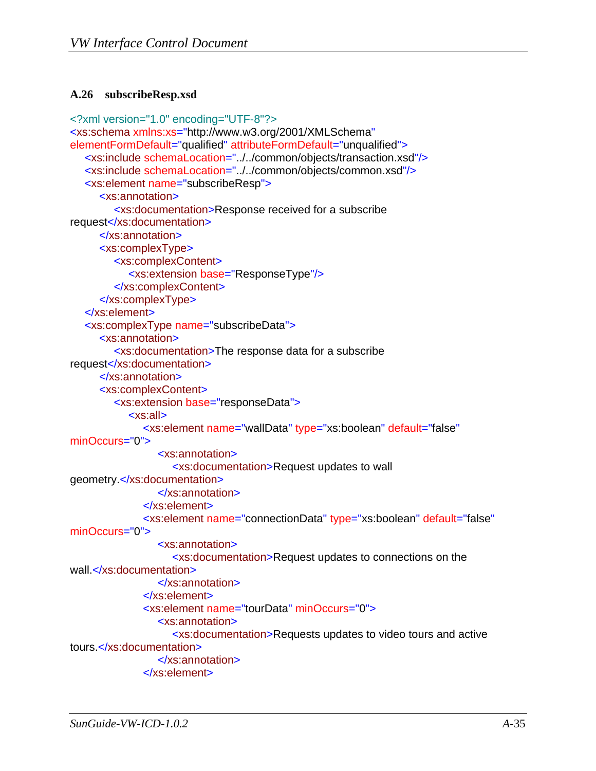#### <span id="page-53-1"></span><span id="page-53-0"></span>**A.26 subscribeResp.xsd**

```
<?xml version="1.0" encoding="UTF-8"?>
<xs:schema xmlns:xs="http://www.w3.org/2001/XMLSchema"
elementFormDefault="qualified" attributeFormDefault="unqualified">
  <xs:include schemaLocation="../../common/objects/transaction.xsd"/>
  <xs:include schemaLocation="../../common/objects/common.xsd"/>
  <xs:element name="subscribeResp">
      <xs:annotation>
         <xs:documentation>Response received for a subscribe 
request</xs:documentation>
      </xs:annotation>
      <xs:complexType>
         <xs:complexContent>
            <xs:extension base="ResponseType"/>
         </xs:complexContent>
      </xs:complexType>
  </xs:element>
  <xs:complexType name="subscribeData">
      <xs:annotation>
         <xs:documentation>The response data for a subscribe 
request</xs:documentation>
      </xs:annotation>
      <xs:complexContent>
         <xs:extension base="responseData">
            <xs:all>
               <xs:element name="wallData" type="xs:boolean" default="false"
minOccurs="0">
                 <xs:annotation>
                    <xs:documentation>Request updates to wall 
geometry.</xs:documentation>
                 </xs:annotation>
               </xs:element>
              <xs:element name="connectionData" type="xs:boolean" default="false"
minOccurs="0">
                 <xs:annotation>
                    <xs:documentation>Request updates to connections on the 
wall.</xs:documentation>
                 </xs:annotation>
               </xs:element>
               <xs:element name="tourData" minOccurs="0">
                 <xs:annotation>
                    <xs:documentation>Requests updates to video tours and active 
tours.</xs:documentation>
                 </xs:annotation>
               </xs:element>
```